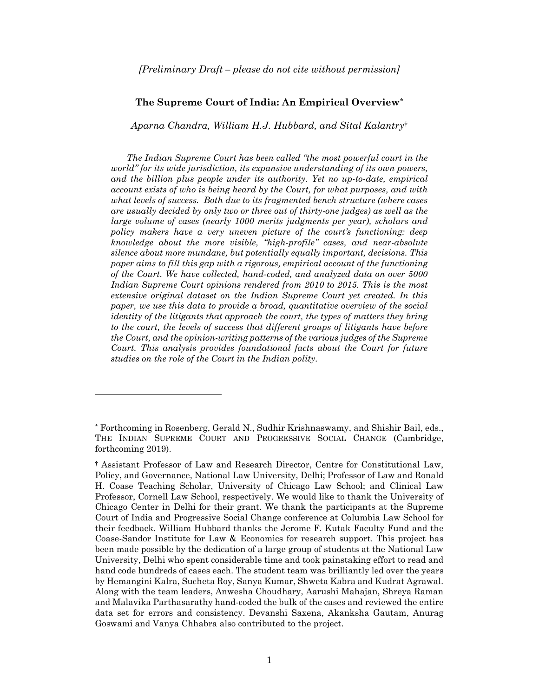## **The Supreme Court of India: An Empirical Overview[\\*](#page-0-0)**

*Aparna Chandra, William H.J. Hubbard, and Sital Kalantry*[†](#page-0-1)

*The Indian Supreme Court has been called "the most powerful court in the world" for its wide jurisdiction, its expansive understanding of its own powers, and the billion plus people under its authority. Yet no up-to-date, empirical account exists of who is being heard by the Court, for what purposes, and with what levels of success. Both due to its fragmented bench structure (where cases are usually decided by only two or three out of thirty-one judges) as well as the large volume of cases (nearly 1000 merits judgments per year), scholars and policy makers have a very uneven picture of the court's functioning: deep knowledge about the more visible, "high-profile" cases, and near-absolute silence about more mundane, but potentially equally important, decisions. This paper aims to fill this gap with a rigorous, empirical account of the functioning of the Court. We have collected, hand-coded, and analyzed data on over 5000 Indian Supreme Court opinions rendered from 2010 to 2015. This is the most extensive original dataset on the Indian Supreme Court yet created. In this paper, we use this data to provide a broad, quantitative overview of the social identity of the litigants that approach the court, the types of matters they bring to the court, the levels of success that different groups of litigants have before the Court, and the opinion-writing patterns of the various judges of the Supreme Court. This analysis provides foundational facts about the Court for future studies on the role of the Court in the Indian polity.* 

<span id="page-0-0"></span><sup>\*</sup> Forthcoming in Rosenberg, Gerald N., Sudhir Krishnaswamy, and Shishir Bail, eds., THE INDIAN SUPREME COURT AND PROGRESSIVE SOCIAL CHANGE (Cambridge, forthcoming 2019).

<span id="page-0-1"></span><sup>†</sup> Assistant Professor of Law and Research Director, Centre for Constitutional Law, Policy, and Governance, National Law University, Delhi; Professor of Law and Ronald H. Coase Teaching Scholar, University of Chicago Law School; and Clinical Law Professor, Cornell Law School, respectively. We would like to thank the University of Chicago Center in Delhi for their grant. We thank the participants at the Supreme Court of India and Progressive Social Change conference at Columbia Law School for their feedback. William Hubbard thanks the Jerome F. Kutak Faculty Fund and the Coase-Sandor Institute for Law & Economics for research support. This project has been made possible by the dedication of a large group of students at the National Law University, Delhi who spent considerable time and took painstaking effort to read and hand code hundreds of cases each. The student team was brilliantly led over the years by Hemangini Kalra, Sucheta Roy, Sanya Kumar, Shweta Kabra and Kudrat Agrawal. Along with the team leaders, Anwesha Choudhary, Aarushi Mahajan, Shreya Raman and Malavika Parthasarathy hand-coded the bulk of the cases and reviewed the entire data set for errors and consistency. Devanshi Saxena, Akanksha Gautam, Anurag Goswami and Vanya Chhabra also contributed to the project.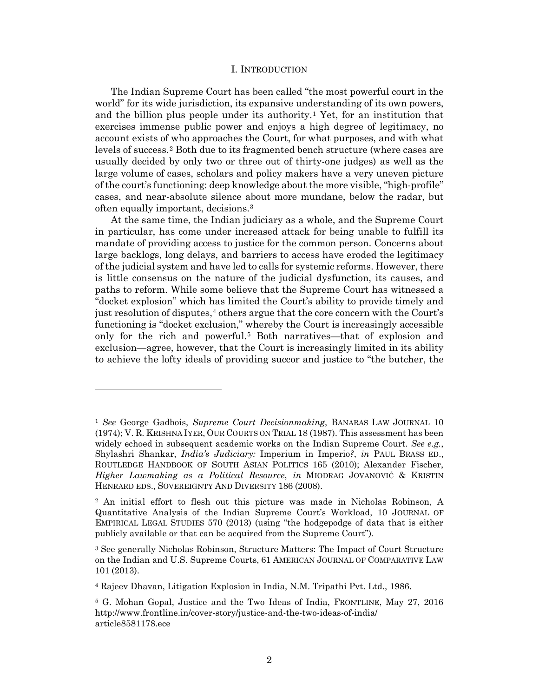#### I. INTRODUCTION

The Indian Supreme Court has been called "the most powerful court in the world" for its wide jurisdiction, its expansive understanding of its own powers, and the billion plus people under its authority.[1](#page-1-0) Yet, for an institution that exercises immense public power and enjoys a high degree of legitimacy, no account exists of who approaches the Court, for what purposes, and with what levels of success.[2](#page-1-1) Both due to its fragmented bench structure (where cases are usually decided by only two or three out of thirty-one judges) as well as the large volume of cases, scholars and policy makers have a very uneven picture of the court's functioning: deep knowledge about the more visible, "high-profile" cases, and near-absolute silence about more mundane, below the radar, but often equally important, decisions.[3](#page-1-2)

At the same time, the Indian judiciary as a whole, and the Supreme Court in particular, has come under increased attack for being unable to fulfill its mandate of providing access to justice for the common person. Concerns about large backlogs, long delays, and barriers to access have eroded the legitimacy of the judicial system and have led to calls for systemic reforms. However, there is little consensus on the nature of the judicial dysfunction, its causes, and paths to reform. While some believe that the Supreme Court has witnessed a "docket explosion" which has limited the Court's ability to provide timely and just resolution of disputes,<sup>[4](#page-1-3)</sup> others argue that the core concern with the Court's functioning is "docket exclusion," whereby the Court is increasingly accessible only for the rich and powerful.[5](#page-1-4) Both narratives—that of explosion and exclusion—agree, however, that the Court is increasingly limited in its ability to achieve the lofty ideals of providing succor and justice to "the butcher, the

<span id="page-1-0"></span><sup>1</sup> *See* George Gadbois, *Supreme Court Decisionmaking*, BANARAS LAW JOURNAL 10 (1974); V. R. KRISHNA IYER, OUR COURTS ON TRIAL 18 (1987). This assessment has been widely echoed in subsequent academic works on the Indian Supreme Court. *See e.g.*, Shylashri Shankar, *India's Judiciary:* Imperium in Imperio*?*, *in* PAUL BRASS ED., ROUTLEDGE HANDBOOK OF SOUTH ASIAN POLITICS 165 (2010); Alexander Fischer, *Higher Lawmaking as a Political Resource*, *in* MIODRAG JOVANOVIĆ & KRISTIN HENRARD EDS., SOVEREIGNTY AND DIVERSITY 186 (2008).

<span id="page-1-1"></span><sup>2</sup> An initial effort to flesh out this picture was made in Nicholas Robinson, A Quantitative Analysis of the Indian Supreme Court's Workload, 10 JOURNAL OF EMPIRICAL LEGAL STUDIES 570 (2013) (using "the hodgepodge of data that is either publicly available or that can be acquired from the Supreme Court").

<span id="page-1-2"></span><sup>3</sup> See generally Nicholas Robinson, Structure Matters: The Impact of Court Structure on the Indian and U.S. Supreme Courts, 61 AMERICAN JOURNAL OF COMPARATIVE LAW 101 (2013).

<span id="page-1-3"></span><sup>4</sup> Rajeev Dhavan, Litigation Explosion in India, N.M. Tripathi Pvt. Ltd., 1986.

<span id="page-1-4"></span><sup>5</sup> G. Mohan Gopal, Justice and the Two Ideas of India, FRONTLINE, May 27, 2016 http://www.frontline.in/cover-story/justice-and-the-two-ideas-of-india/ article8581178.ece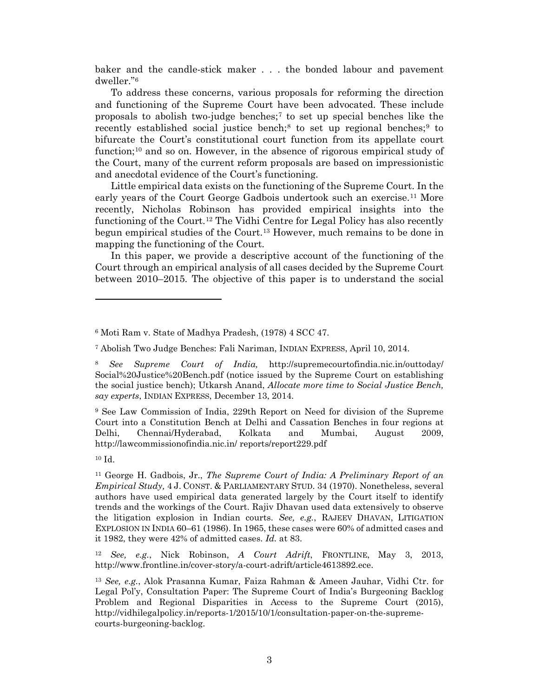baker and the candle-stick maker . . . the bonded labour and pavement dweller.["6](#page-2-0)

To address these concerns, various proposals for reforming the direction and functioning of the Supreme Court have been advocated. These include proposals to abolish two-judge benches;<sup>[7](#page-2-1)</sup> to set up special benches like the recently established social justice bench;<sup>[8](#page-2-2)</sup> to set up regional benches;<sup>[9](#page-2-3)</sup> to bifurcate the Court's constitutional court function from its appellate court function;<sup>10</sup> and so on. However, in the absence of rigorous empirical study of the Court, many of the current reform proposals are based on impressionistic and anecdotal evidence of the Court's functioning.

Little empirical data exists on the functioning of the Supreme Court. In the early years of the Court George Gadbois undertook such an exercise.<sup>[11](#page-2-5)</sup> More recently, Nicholas Robinson has provided empirical insights into the functioning of the Court.[12](#page-2-6) The Vidhi Centre for Legal Policy has also recently begun empirical studies of the Court.[13](#page-2-7) However, much remains to be done in mapping the functioning of the Court.

In this paper, we provide a descriptive account of the functioning of the Court through an empirical analysis of all cases decided by the Supreme Court between 2010–2015. The objective of this paper is to understand the social

<span id="page-2-3"></span><sup>9</sup> See Law Commission of India, 229th Report on Need for division of the Supreme Court into a Constitution Bench at Delhi and Cassation Benches in four regions at Delhi, Chennai/Hyderabad, Kolkata and Mumbai, August 2009, http://lawcommissionofindia.nic.in/ reports/report229.pdf

<span id="page-2-5"></span><sup>11</sup> George H. Gadbois, Jr., *The Supreme Court of India: A Preliminary Report of an Empirical Study,* 4 J. CONST. & PARLIAMENTARY STUD. 34 (1970). Nonetheless, several authors have used empirical data generated largely by the Court itself to identify trends and the workings of the Court. Rajiv Dhavan used data extensively to observe the litigation explosion in Indian courts. *See, e.g.*, RAJEEV DHAVAN, LITIGATION EXPLOSION IN INDIA 60–61 (1986). In 1965, these cases were 60% of admitted cases and it 1982, they were 42% of admitted cases. *Id.* at 83.

<span id="page-2-6"></span><sup>12</sup> *See, e.g.*, Nick Robinson, *A Court Adrift*, FRONTLINE, May 3, 2013, http://www.frontline.in/cover-story/a-court-adrift/article4613892.ece.

<span id="page-2-7"></span><sup>13</sup> *See, e.g.*, Alok Prasanna Kumar, Faiza Rahman & Ameen Jauhar, Vidhi Ctr. for Legal Pol'y, Consultation Paper: The Supreme Court of India's Burgeoning Backlog Problem and Regional Disparities in Access to the Supreme Court (2015), http://vidhilegalpolicy.in/reports-1/2015/10/1/consultation-paper-on-the-supremecourts-burgeoning-backlog.

<span id="page-2-0"></span><sup>6</sup> Moti Ram v. State of Madhya Pradesh, (1978) 4 SCC 47.

<span id="page-2-1"></span><sup>7</sup> Abolish Two Judge Benches: Fali Nariman, INDIAN EXPRESS, April 10, 2014.

<span id="page-2-2"></span><sup>8</sup> *See Supreme Court of India,* http://supremecourtofindia.nic.in/outtoday/ Social%20Justice%20Bench.pdf (notice issued by the Supreme Court on establishing the social justice bench); Utkarsh Anand, *Allocate more time to Social Justice Bench, say experts*, INDIAN EXPRESS, December 13, 2014.

<span id="page-2-4"></span><sup>10</sup> Id.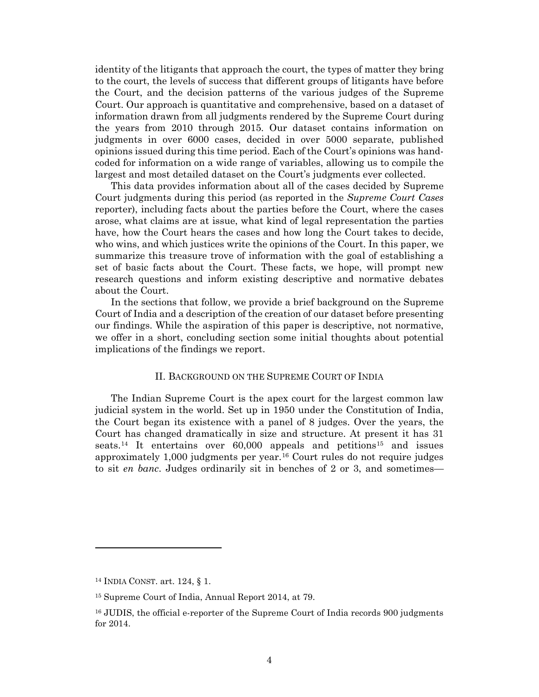identity of the litigants that approach the court, the types of matter they bring to the court, the levels of success that different groups of litigants have before the Court, and the decision patterns of the various judges of the Supreme Court. Our approach is quantitative and comprehensive, based on a dataset of information drawn from all judgments rendered by the Supreme Court during the years from 2010 through 2015. Our dataset contains information on judgments in over 6000 cases, decided in over 5000 separate, published opinions issued during this time period. Each of the Court's opinions was handcoded for information on a wide range of variables, allowing us to compile the largest and most detailed dataset on the Court's judgments ever collected.

This data provides information about all of the cases decided by Supreme Court judgments during this period (as reported in the *Supreme Court Cases* reporter), including facts about the parties before the Court, where the cases arose, what claims are at issue, what kind of legal representation the parties have, how the Court hears the cases and how long the Court takes to decide, who wins, and which justices write the opinions of the Court. In this paper, we summarize this treasure trove of information with the goal of establishing a set of basic facts about the Court. These facts, we hope, will prompt new research questions and inform existing descriptive and normative debates about the Court.

In the sections that follow, we provide a brief background on the Supreme Court of India and a description of the creation of our dataset before presenting our findings. While the aspiration of this paper is descriptive, not normative, we offer in a short, concluding section some initial thoughts about potential implications of the findings we report.

#### II. BACKGROUND ON THE SUPREME COURT OF INDIA

The Indian Supreme Court is the apex court for the largest common law judicial system in the world. Set up in 1950 under the Constitution of India, the Court began its existence with a panel of 8 judges. Over the years, the Court has changed dramatically in size and structure. At present it has 31 seats.<sup>[14](#page-3-0)</sup> It entertains over 60,000 appeals and petitions<sup>[15](#page-3-1)</sup> and issues approximately  $1,000$  judgments per year.<sup>[16](#page-3-2)</sup> Court rules do not require judges to sit *en banc*. Judges ordinarily sit in benches of 2 or 3, and sometimes—

<span id="page-3-0"></span><sup>14</sup> INDIA CONST. art. 124, § 1.

<span id="page-3-1"></span><sup>15</sup> Supreme Court of India, Annual Report 2014, at 79.

<span id="page-3-2"></span><sup>16</sup> JUDIS, the official e-reporter of the Supreme Court of India records 900 judgments for 2014.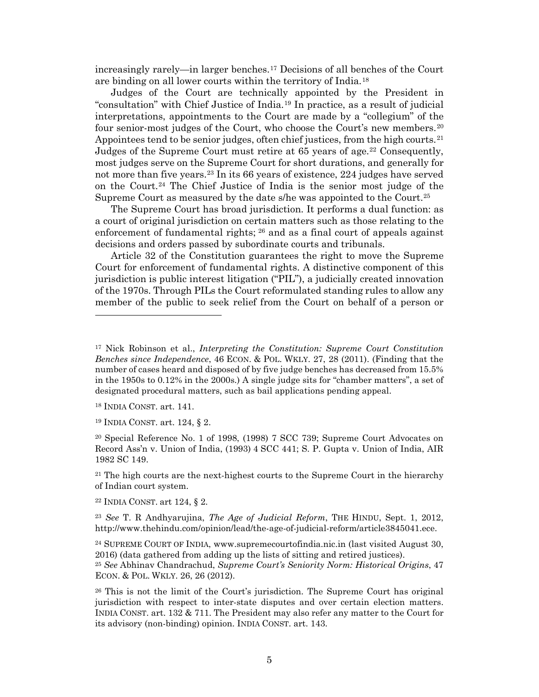increasingly rarely—in larger benches.[17](#page-4-0) Decisions of all benches of the Court are binding on all lower courts within the territory of India.[18](#page-4-1)

Judges of the Court are technically appointed by the President in "consultation" with Chief Justice of India.[19](#page-4-2) In practice, as a result of judicial interpretations, appointments to the Court are made by a "collegium" of the four senior-most judges of the Court, who choose the Court's new members.[20](#page-4-3) Appointees tend to be senior judges, often chief justices, from the high courts.<sup>[21](#page-4-4)</sup> Judges of the Supreme Court must retire at 65 years of age.[22](#page-4-5) Consequently, most judges serve on the Supreme Court for short durations, and generally for not more than five years.[23](#page-4-6) In its 66 years of existence, 224 judges have served on the Court.[24](#page-4-7) The Chief Justice of India is the senior most judge of the Supreme Court as measured by the date s/he was appointed to the Court.[25](#page-4-8)

The Supreme Court has broad jurisdiction. It performs a dual function: as a court of original jurisdiction on certain matters such as those relating to the enforcement of fundamental rights; [26](#page-4-9) and as a final court of appeals against decisions and orders passed by subordinate courts and tribunals.

Article 32 of the Constitution guarantees the right to move the Supreme Court for enforcement of fundamental rights. A distinctive component of this jurisdiction is public interest litigation ("PIL"), a judicially created innovation of the 1970s. Through PILs the Court reformulated standing rules to allow any member of the public to seek relief from the Court on behalf of a person or

<span id="page-4-1"></span><sup>18</sup> INDIA CONST. art. 141.

<span id="page-4-2"></span><sup>19</sup> INDIA CONST. art. 124, § 2.

<span id="page-4-4"></span><sup>21</sup> The high courts are the next-highest courts to the Supreme Court in the hierarchy of Indian court system.

<span id="page-4-5"></span><sup>22</sup> INDIA CONST. art 124, § 2.

<span id="page-4-6"></span><sup>23</sup> *See* T. R Andhyarujina, *The Age of Judicial Reform*, THE HINDU, Sept. 1, 2012, http://www.thehindu.com/opinion/lead/the-age-of-judicial-reform/article3845041.ece.

<span id="page-4-8"></span><span id="page-4-7"></span><sup>24</sup> SUPREME COURT OF INDIA, www.supremecourtofindia.nic.in (last visited August 30, 2016) (data gathered from adding up the lists of sitting and retired justices). <sup>25</sup> *See* Abhinav Chandrachud, *Supreme Court's Seniority Norm: Historical Origins*, 47 ECON. & POL. WKLY. 26, 26 (2012).

<span id="page-4-9"></span><sup>26</sup> This is not the limit of the Court's jurisdiction. The Supreme Court has original jurisdiction with respect to inter-state disputes and over certain election matters. INDIA CONST. art. 132 & 711. The President may also refer any matter to the Court for its advisory (non-binding) opinion. INDIA CONST. art. 143.

<span id="page-4-0"></span><sup>17</sup> Nick Robinson et al., *Interpreting the Constitution: Supreme Court Constitution Benches since Independence*, 46 ECON. & POL. WKLY. 27, 28 (2011). (Finding that the number of cases heard and disposed of by five judge benches has decreased from 15.5% in the 1950s to 0.12% in the 2000s.) A single judge sits for "chamber matters", a set of designated procedural matters, such as bail applications pending appeal.

<span id="page-4-3"></span><sup>20</sup> Special Reference No. 1 of 1998, (1998) 7 SCC 739; Supreme Court Advocates on Record Ass'n v. Union of India, (1993) 4 SCC 441; S. P. Gupta v. Union of India, AIR 1982 SC 149.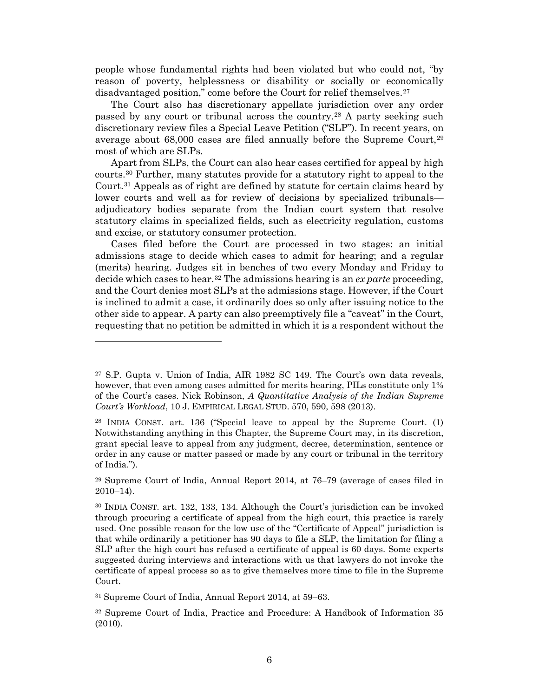people whose fundamental rights had been violated but who could not, "by reason of poverty, helplessness or disability or socially or economically disadvantaged position," come before the Court for relief themselves.[27](#page-5-0)

The Court also has discretionary appellate jurisdiction over any order passed by any court or tribunal across the country.<sup>[28](#page-5-1)</sup> A party seeking such discretionary review files a Special Leave Petition ("SLP"). In recent years, on average about 68,000 cases are filed annually before the Supreme Court,<sup>[29](#page-5-2)</sup> most of which are SLPs.

Apart from SLPs, the Court can also hear cases certified for appeal by high courts.[30](#page-5-3) Further, many statutes provide for a statutory right to appeal to the Court.[31](#page-5-4) Appeals as of right are defined by statute for certain claims heard by lower courts and well as for review of decisions by specialized tribunals adjudicatory bodies separate from the Indian court system that resolve statutory claims in specialized fields, such as electricity regulation, customs and excise, or statutory consumer protection.

Cases filed before the Court are processed in two stages: an initial admissions stage to decide which cases to admit for hearing; and a regular (merits) hearing. Judges sit in benches of two every Monday and Friday to decide which cases to hear.[32](#page-5-5) The admissions hearing is an *ex parte* proceeding, and the Court denies most SLPs at the admissions stage. However, if the Court is inclined to admit a case, it ordinarily does so only after issuing notice to the other side to appear. A party can also preemptively file a "caveat" in the Court, requesting that no petition be admitted in which it is a respondent without the

<span id="page-5-0"></span> $27$  S.P. Gupta v. Union of India, AIR 1982 SC 149. The Court's own data reveals, however, that even among cases admitted for merits hearing, PILs constitute only 1% of the Court's cases. Nick Robinson, *A Quantitative Analysis of the Indian Supreme Court's Workload*, 10 J. EMPIRICAL LEGAL STUD. 570, 590, 598 (2013).

<span id="page-5-1"></span><sup>28</sup> INDIA CONST. art. 136 ("Special leave to appeal by the Supreme Court. (1) Notwithstanding anything in this Chapter, the Supreme Court may, in its discretion, grant special leave to appeal from any judgment, decree, determination, sentence or order in any cause or matter passed or made by any court or tribunal in the territory of India.").

<span id="page-5-2"></span><sup>29</sup> Supreme Court of India, Annual Report 2014, at 76–79 (average of cases filed in 2010–14).

<span id="page-5-3"></span><sup>30</sup> INDIA CONST. art. 132, 133, 134. Although the Court's jurisdiction can be invoked through procuring a certificate of appeal from the high court, this practice is rarely used. One possible reason for the low use of the "Certificate of Appeal" jurisdiction is that while ordinarily a petitioner has 90 days to file a SLP, the limitation for filing a SLP after the high court has refused a certificate of appeal is 60 days. Some experts suggested during interviews and interactions with us that lawyers do not invoke the certificate of appeal process so as to give themselves more time to file in the Supreme Court.

<span id="page-5-4"></span><sup>31</sup> Supreme Court of India, Annual Report 2014, at 59–63.

<span id="page-5-5"></span><sup>32</sup> Supreme Court of India, Practice and Procedure: A Handbook of Information 35 (2010).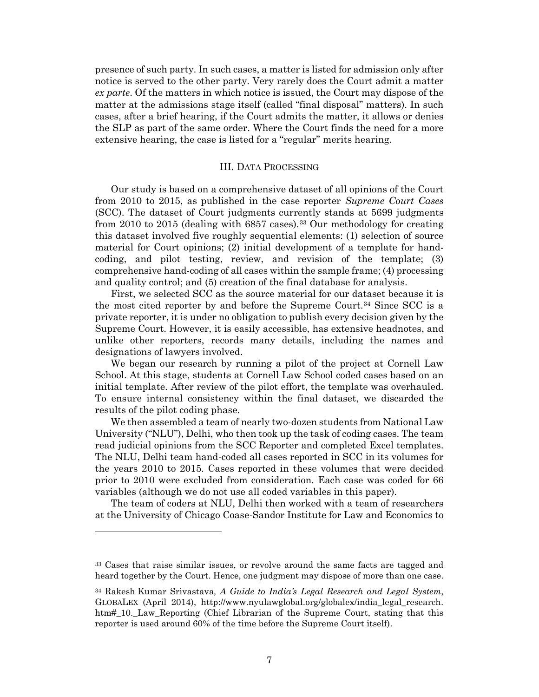presence of such party. In such cases, a matter is listed for admission only after notice is served to the other party. Very rarely does the Court admit a matter *ex parte*. Of the matters in which notice is issued, the Court may dispose of the matter at the admissions stage itself (called "final disposal" matters). In such cases, after a brief hearing, if the Court admits the matter, it allows or denies the SLP as part of the same order. Where the Court finds the need for a more extensive hearing, the case is listed for a "regular" merits hearing.

## III. DATA PROCESSING

Our study is based on a comprehensive dataset of all opinions of the Court from 2010 to 2015, as published in the case reporter *Supreme Court Cases* (SCC). The dataset of Court judgments currently stands at 5699 judgments from 2010 to 2015 (dealing with 6857 cases).[33](#page-6-0) Our methodology for creating this dataset involved five roughly sequential elements: (1) selection of source material for Court opinions; (2) initial development of a template for handcoding, and pilot testing, review, and revision of the template; (3) comprehensive hand-coding of all cases within the sample frame; (4) processing and quality control; and (5) creation of the final database for analysis.

First, we selected SCC as the source material for our dataset because it is the most cited reporter by and before the Supreme Court. $34$  Since SCC is a private reporter, it is under no obligation to publish every decision given by the Supreme Court. However, it is easily accessible, has extensive headnotes, and unlike other reporters, records many details, including the names and designations of lawyers involved.

We began our research by running a pilot of the project at Cornell Law School. At this stage, students at Cornell Law School coded cases based on an initial template. After review of the pilot effort, the template was overhauled. To ensure internal consistency within the final dataset, we discarded the results of the pilot coding phase.

We then assembled a team of nearly two-dozen students from National Law University ("NLU"), Delhi, who then took up the task of coding cases. The team read judicial opinions from the SCC Reporter and completed Excel templates. The NLU, Delhi team hand-coded all cases reported in SCC in its volumes for the years 2010 to 2015. Cases reported in these volumes that were decided prior to 2010 were excluded from consideration. Each case was coded for 66 variables (although we do not use all coded variables in this paper).

The team of coders at NLU, Delhi then worked with a team of researchers at the University of Chicago Coase-Sandor Institute for Law and Economics to

<span id="page-6-0"></span><sup>33</sup> Cases that raise similar issues, or revolve around the same facts are tagged and heard together by the Court. Hence, one judgment may dispose of more than one case.

<span id="page-6-1"></span><sup>34</sup> Rakesh Kumar Srivastava*, A Guide to India's Legal Research and Legal System*, GLOBALEX (April 2014), http://www.nyulawglobal.org/globalex/india\_legal\_research. htm# 10. Law Reporting (Chief Librarian of the Supreme Court, stating that this reporter is used around 60% of the time before the Supreme Court itself).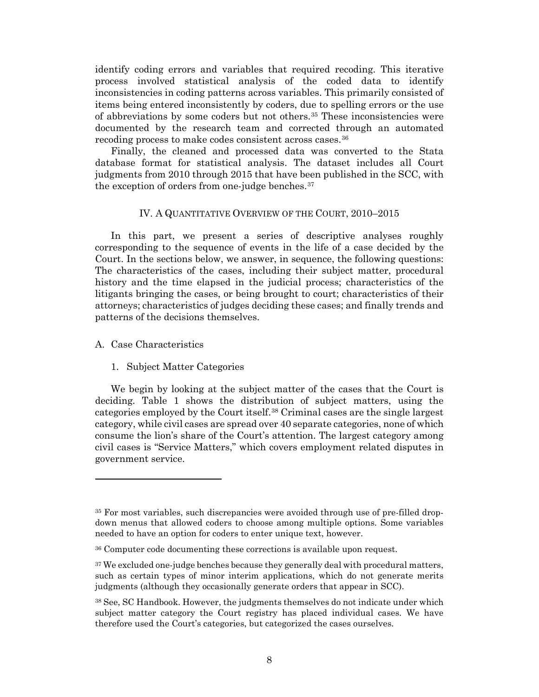identify coding errors and variables that required recoding. This iterative process involved statistical analysis of the coded data to identify inconsistencies in coding patterns across variables. This primarily consisted of items being entered inconsistently by coders, due to spelling errors or the use of abbreviations by some coders but not others.[35](#page-7-0) These inconsistencies were documented by the research team and corrected through an automated recoding process to make codes consistent across cases.[36](#page-7-1)

Finally, the cleaned and processed data was converted to the Stata database format for statistical analysis. The dataset includes all Court judgments from 2010 through 2015 that have been published in the SCC, with the exception of orders from one-judge benches.[37](#page-7-2)

## IV. A QUANTITATIVE OVERVIEW OF THE COURT, 2010–2015

In this part, we present a series of descriptive analyses roughly corresponding to the sequence of events in the life of a case decided by the Court. In the sections below, we answer, in sequence, the following questions: The characteristics of the cases, including their subject matter, procedural history and the time elapsed in the judicial process; characteristics of the litigants bringing the cases, or being brought to court; characteristics of their attorneys; characteristics of judges deciding these cases; and finally trends and patterns of the decisions themselves.

A. Case Characteristics

1. Subject Matter Categories

We begin by looking at the subject matter of the cases that the Court is deciding. Table 1 shows the distribution of subject matters, using the categories employed by the Court itself.[38](#page-7-3) Criminal cases are the single largest category, while civil cases are spread over 40 separate categories, none of which consume the lion's share of the Court's attention. The largest category among civil cases is "Service Matters," which covers employment related disputes in government service.

<span id="page-7-0"></span><sup>35</sup> For most variables, such discrepancies were avoided through use of pre-filled dropdown menus that allowed coders to choose among multiple options. Some variables needed to have an option for coders to enter unique text, however.

<span id="page-7-1"></span><sup>36</sup> Computer code documenting these corrections is available upon request.

<span id="page-7-2"></span><sup>&</sup>lt;sup>37</sup> We excluded one-judge benches because they generally deal with procedural matters, such as certain types of minor interim applications, which do not generate merits judgments (although they occasionally generate orders that appear in SCC).

<span id="page-7-3"></span><sup>38</sup> See, SC Handbook. However, the judgments themselves do not indicate under which subject matter category the Court registry has placed individual cases. We have therefore used the Court's categories, but categorized the cases ourselves.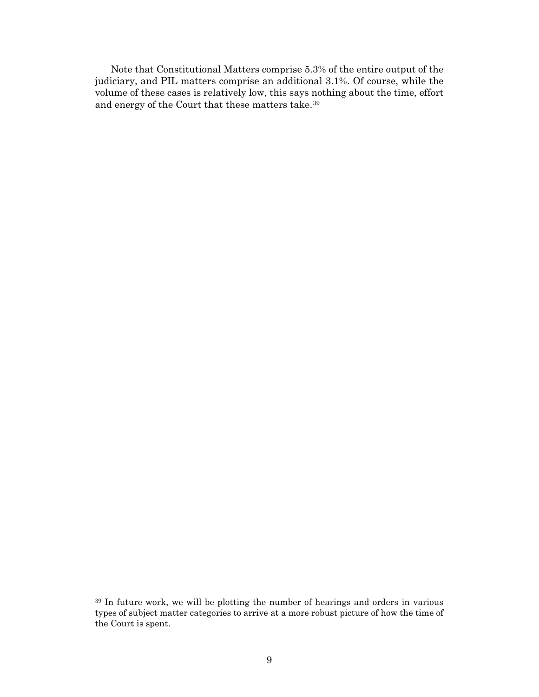Note that Constitutional Matters comprise 5.3% of the entire output of the judiciary, and PIL matters comprise an additional 3.1%. Of course, while the volume of these cases is relatively low, this says nothing about the time, effort and energy of the Court that these matters take.[39](#page-8-0)

<span id="page-8-0"></span><sup>39</sup> In future work, we will be plotting the number of hearings and orders in various types of subject matter categories to arrive at a more robust picture of how the time of the Court is spent.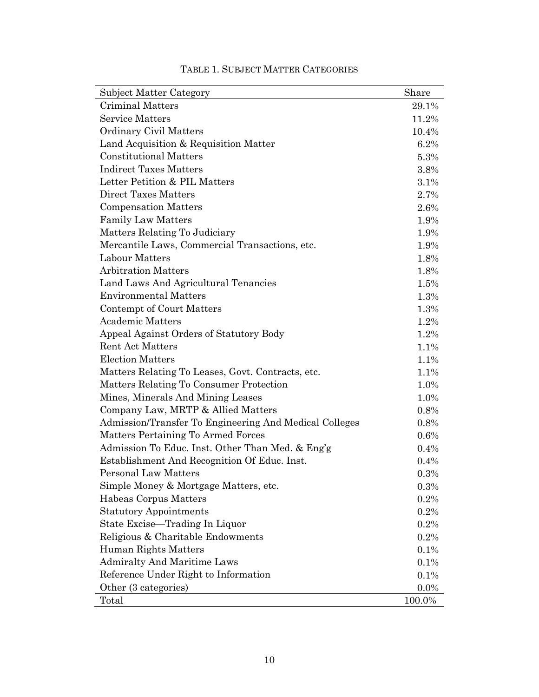| Subject Matter Category                                | Share   |
|--------------------------------------------------------|---------|
| <b>Criminal Matters</b>                                | 29.1%   |
| <b>Service Matters</b>                                 | 11.2%   |
| Ordinary Civil Matters                                 | 10.4%   |
| Land Acquisition & Requisition Matter                  | 6.2%    |
| <b>Constitutional Matters</b>                          | 5.3%    |
| <b>Indirect Taxes Matters</b>                          | 3.8%    |
| Letter Petition & PIL Matters                          | 3.1%    |
| <b>Direct Taxes Matters</b>                            | 2.7%    |
| <b>Compensation Matters</b>                            | 2.6%    |
| <b>Family Law Matters</b>                              | 1.9%    |
| Matters Relating To Judiciary                          | 1.9%    |
| Mercantile Laws, Commercial Transactions, etc.         | 1.9%    |
| Labour Matters                                         | 1.8%    |
| <b>Arbitration Matters</b>                             | 1.8%    |
| Land Laws And Agricultural Tenancies                   | 1.5%    |
| <b>Environmental Matters</b>                           | 1.3%    |
| Contempt of Court Matters                              | 1.3%    |
| <b>Academic Matters</b>                                | 1.2%    |
| Appeal Against Orders of Statutory Body                | 1.2%    |
| <b>Rent Act Matters</b>                                | 1.1%    |
| <b>Election Matters</b>                                | 1.1%    |
| Matters Relating To Leases, Govt. Contracts, etc.      | 1.1%    |
| Matters Relating To Consumer Protection                | 1.0%    |
| Mines, Minerals And Mining Leases                      | 1.0%    |
| Company Law, MRTP & Allied Matters                     | 0.8%    |
| Admission/Transfer To Engineering And Medical Colleges | 0.8%    |
| Matters Pertaining To Armed Forces                     | 0.6%    |
| Admission To Educ. Inst. Other Than Med. & Eng'g       | 0.4%    |
| Establishment And Recognition Of Educ. Inst.           | 0.4%    |
| <b>Personal Law Matters</b>                            | 0.3%    |
| Simple Money & Mortgage Matters, etc.                  | 0.3%    |
| Habeas Corpus Matters                                  | 0.2%    |
| <b>Statutory Appointments</b>                          | 0.2%    |
| State Excise—Trading In Liquor                         | 0.2%    |
| Religious & Charitable Endowments                      | 0.2%    |
| Human Rights Matters                                   | 0.1%    |
| <b>Admiralty And Maritime Laws</b>                     | 0.1%    |
| Reference Under Right to Information                   | 0.1%    |
| Other (3 categories)                                   | $0.0\%$ |
| Total                                                  | 100.0%  |

# TABLE 1. SUBJECT MATTER CATEGORIES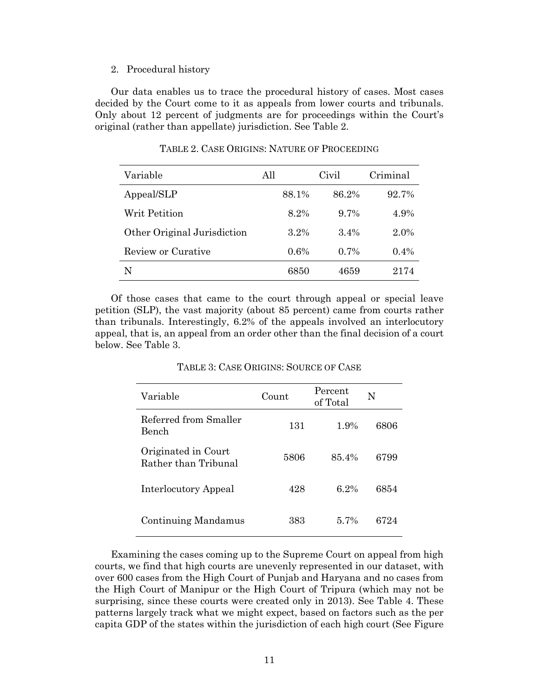## 2. Procedural history

Our data enables us to trace the procedural history of cases. Most cases decided by the Court come to it as appeals from lower courts and tribunals. Only about 12 percent of judgments are for proceedings within the Court's original (rather than appellate) jurisdiction. See Table 2.

| Variable                    | All   | Civil   | Criminal |
|-----------------------------|-------|---------|----------|
| Appeal/SLP                  | 88.1% | 86.2%   | 92.7%    |
| Writ Petition               | 8.2%  | $9.7\%$ | 4.9%     |
| Other Original Jurisdiction | 3.2%  | $3.4\%$ | 2.0%     |
| Review or Curative          | 0.6%  | $0.7\%$ | $0.4\%$  |
|                             | 6850  | 4659    | 2174     |

TABLE 2. CASE ORIGINS: NATURE OF PROCEEDING

Of those cases that came to the court through appeal or special leave petition (SLP), the vast majority (about 85 percent) came from courts rather than tribunals. Interestingly, 6.2% of the appeals involved an interlocutory appeal, that is, an appeal from an order other than the final decision of a court below. See Table 3.

| Variable                                    | Count | Percent<br>of Total | N    |
|---------------------------------------------|-------|---------------------|------|
| Referred from Smaller<br>Bench              | 131   | 1.9%                | 6806 |
| Originated in Court<br>Rather than Tribunal | 5806  | 85.4%               | 6799 |
| <b>Interlocutory Appeal</b>                 | 428   | 6.2%                | 6854 |
| Continuing Mandamus                         | 383   | 57%                 | 6724 |

TABLE 3: CASE ORIGINS: SOURCE OF CASE

Examining the cases coming up to the Supreme Court on appeal from high courts, we find that high courts are unevenly represented in our dataset, with over 600 cases from the High Court of Punjab and Haryana and no cases from the High Court of Manipur or the High Court of Tripura (which may not be surprising, since these courts were created only in 2013). See Table 4. These patterns largely track what we might expect, based on factors such as the per capita GDP of the states within the jurisdiction of each high court (See Figure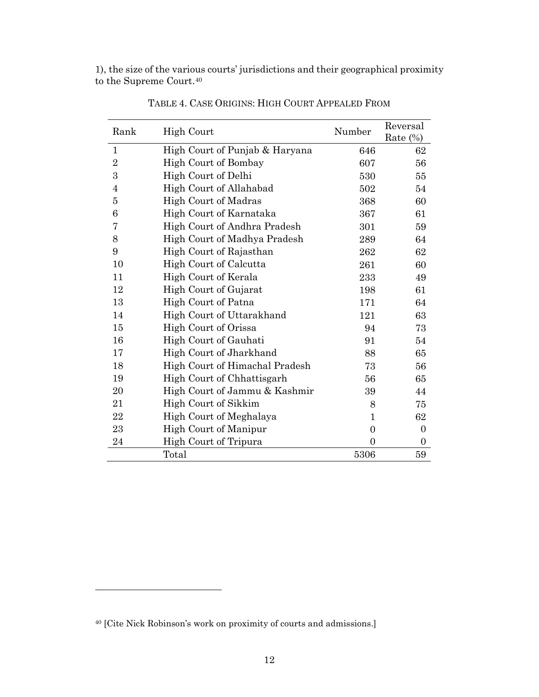1), the size of the various courts' jurisdictions and their geographical proximity to the Supreme Court.<sup>[40](#page-11-0)</sup>

| Rank           | <b>High Court</b>              | Number         | Reversal<br>Rate $(\%)$ |
|----------------|--------------------------------|----------------|-------------------------|
| 1              | High Court of Punjab & Haryana | 646            | 62                      |
| $\overline{2}$ | <b>High Court of Bombay</b>    | 607            | 56                      |
| 3              | High Court of Delhi            | 530            | 55                      |
| $\overline{4}$ | High Court of Allahabad        | 502            | 54                      |
| 5              | <b>High Court of Madras</b>    | 368            | 60                      |
| 6              | High Court of Karnataka        | 367            | 61                      |
| 7              | High Court of Andhra Pradesh   | 301            | 59                      |
| 8              | High Court of Madhya Pradesh   | 289            | 64                      |
| 9              | High Court of Rajasthan        | 262            | 62                      |
| 10             | High Court of Calcutta         | 261            | 60                      |
| 11             | High Court of Kerala           | 233            | 49                      |
| 12             | High Court of Gujarat          | 198            | 61                      |
| 13             | High Court of Patna            | 171            | 64                      |
| 14             | High Court of Uttarakhand      | 121            | 63                      |
| 15             | High Court of Orissa           | 94             | 73                      |
| 16             | High Court of Gauhati          | 91             | 54                      |
| 17             | High Court of Jharkhand        | 88             | 65                      |
| 18             | High Court of Himachal Pradesh | 73             | 56                      |
| 19             | High Court of Chhattisgarh     | 56             | 65                      |
| 20             | High Court of Jammu & Kashmir  | 39             | 44                      |
| 21             | High Court of Sikkim           | 8              | 75                      |
| 22             | High Court of Meghalaya        | 1              | 62                      |
| 23             | <b>High Court of Manipur</b>   | $\overline{0}$ | $\overline{0}$          |
| 24             | High Court of Tripura          | $\overline{0}$ | $\boldsymbol{0}$        |
|                | Total                          | 5306           | 59                      |

TABLE 4. CASE ORIGINS: HIGH COURT APPEALED FROM

<span id="page-11-0"></span> $^{\rm 40}$  [Cite Nick Robinson's work on proximity of courts and admissions.]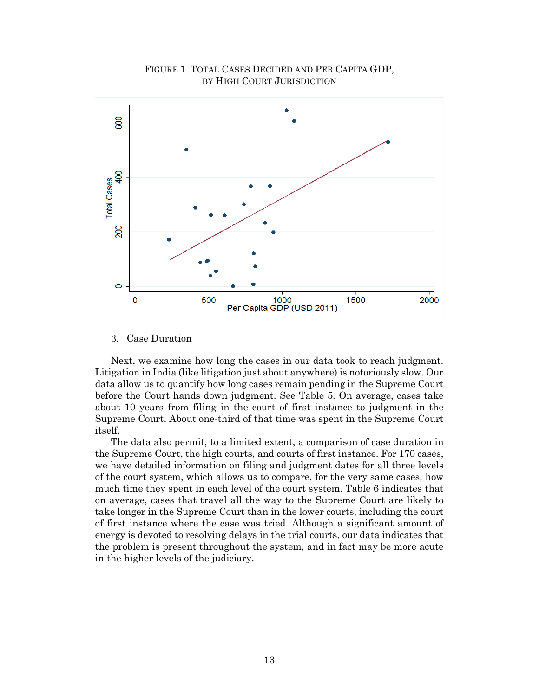

FIGURE 1. TOTAL CASES DECIDED AND PER CAPITA GDP, BY HIGH COURT JURISDICTION

3. Case Duration

Next, we examine how long the cases in our data took to reach judgment. Litigation in India (like litigation just about anywhere) is notoriously slow. Our data allow us to quantify how long cases remain pending in the Supreme Court before the Court hands down judgment. See Table 5. On average, cases take about 10 years from filing in the court of first instance to judgment in the Supreme Court. About one-third of that time was spent in the Supreme Court itself.

The data also permit, to a limited extent, a comparison of case duration in the Supreme Court, the high courts, and courts of first instance. For 170 cases, we have detailed information on filing and judgment dates for all three levels of the court system, which allows us to compare, for the very same cases, how much time they spent in each level of the court system. Table 6 indicates that on average, cases that travel all the way to the Supreme Court are likely to take longer in the Supreme Court than in the lower courts, including the court of first instance where the case was tried. Although a significant amount of energy is devoted to resolving delays in the trial courts, our data indicates that the problem is present throughout the system, and in fact may be more acute in the higher levels of the judiciary.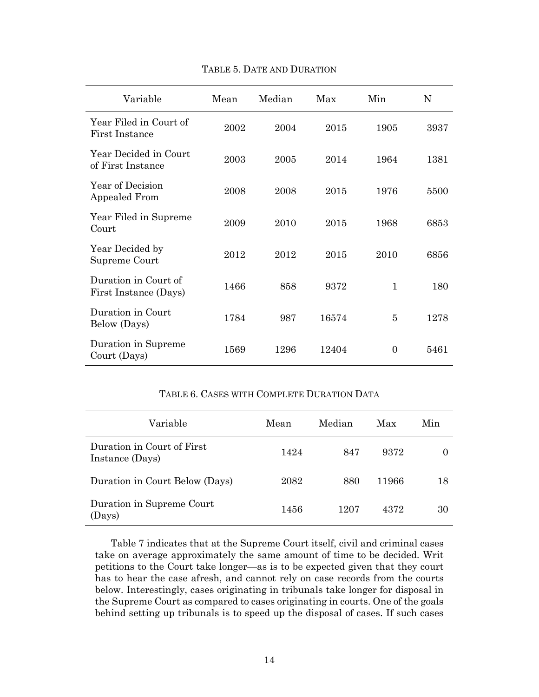| Variable                                        | Mean | Median | Max   | Min      | $\mathbf N$ |
|-------------------------------------------------|------|--------|-------|----------|-------------|
| Year Filed in Court of<br><b>First Instance</b> | 2002 | 2004   | 2015  | 1905     | 3937        |
| Year Decided in Court<br>of First Instance      | 2003 | 2005   | 2014  | 1964     | 1381        |
| Year of Decision<br>Appealed From               | 2008 | 2008   | 2015  | 1976     | 5500        |
| Year Filed in Supreme<br>Court                  | 2009 | 2010   | 2015  | 1968     | 6853        |
| Year Decided by<br>Supreme Court                | 2012 | 2012   | 2015  | 2010     | 6856        |
| Duration in Court of<br>First Instance (Days)   | 1466 | 858    | 9372  | 1        | 180         |
| Duration in Court<br>Below (Days)               | 1784 | 987    | 16574 | 5        | 1278        |
| Duration in Supreme<br>Court (Days)             | 1569 | 1296   | 12404 | $\Omega$ | 5461        |

## TABLE 5. DATE AND DURATION

## TABLE 6. CASES WITH COMPLETE DURATION DATA

| Variable                                      | Mean | Median | Max   | Min |
|-----------------------------------------------|------|--------|-------|-----|
| Duration in Court of First<br>Instance (Days) | 1424 | 847    | 9372  |     |
| Duration in Court Below (Days)                | 2082 | 880    | 11966 | 18  |
| Duration in Supreme Court<br>(Days)           | 1456 | 1207   | 4372  | 30  |

Table 7 indicates that at the Supreme Court itself, civil and criminal cases take on average approximately the same amount of time to be decided. Writ petitions to the Court take longer—as is to be expected given that they court has to hear the case afresh, and cannot rely on case records from the courts below. Interestingly, cases originating in tribunals take longer for disposal in the Supreme Court as compared to cases originating in courts. One of the goals behind setting up tribunals is to speed up the disposal of cases. If such cases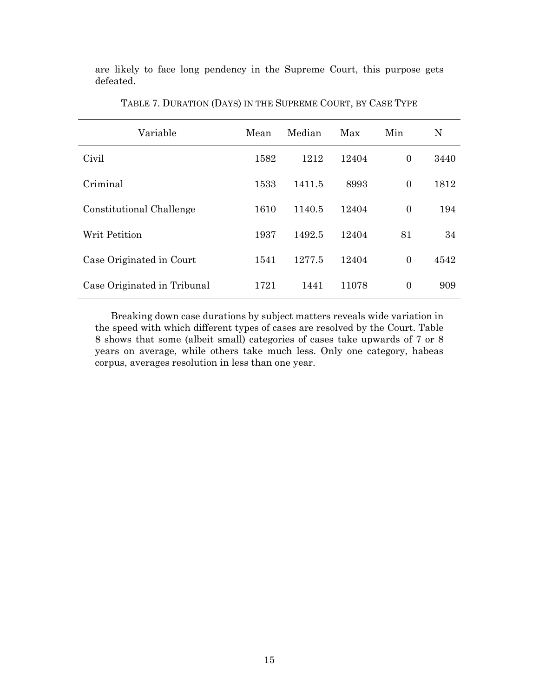are likely to face long pendency in the Supreme Court, this purpose gets defeated.

| Variable                    | Mean | Median | Max   | Min            | N    |
|-----------------------------|------|--------|-------|----------------|------|
| Civil                       | 1582 | 1212   | 12404 | $\Omega$       | 3440 |
| Criminal                    | 1533 | 1411.5 | 8993  | $\Omega$       | 1812 |
| Constitutional Challenge    | 1610 | 1140.5 | 12404 | $\overline{0}$ | 194  |
| Writ Petition               | 1937 | 1492.5 | 12404 | 81             | 34   |
| Case Originated in Court    | 1541 | 1277.5 | 12404 | $\Omega$       | 4542 |
| Case Originated in Tribunal | 1721 | 1441   | 11078 | $\theta$       | 909  |

TABLE 7. DURATION (DAYS) IN THE SUPREME COURT, BY CASE TYPE

Breaking down case durations by subject matters reveals wide variation in the speed with which different types of cases are resolved by the Court. Table 8 shows that some (albeit small) categories of cases take upwards of 7 or 8 years on average, while others take much less. Only one category, habeas corpus, averages resolution in less than one year.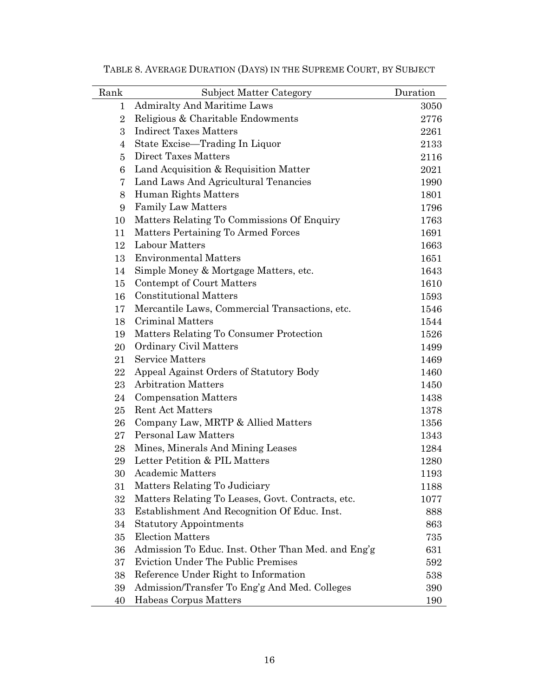| Rank           | <b>Subject Matter Category</b>                     | Duration |
|----------------|----------------------------------------------------|----------|
| 1              | <b>Admiralty And Maritime Laws</b>                 | 3050     |
| $\overline{2}$ | Religious & Charitable Endowments                  | 2776     |
| 3              | <b>Indirect Taxes Matters</b>                      | 2261     |
| $\overline{4}$ | State Excise—Trading In Liquor                     | 2133     |
| 5              | Direct Taxes Matters                               | 2116     |
| 6              | Land Acquisition & Requisition Matter              | 2021     |
| 7              | Land Laws And Agricultural Tenancies               | 1990     |
| 8              | Human Rights Matters                               | 1801     |
| 9              | <b>Family Law Matters</b>                          | 1796     |
| 10             | Matters Relating To Commissions Of Enquiry         | 1763     |
| 11             | Matters Pertaining To Armed Forces                 | 1691     |
| 12             | Labour Matters                                     | 1663     |
| 13             | <b>Environmental Matters</b>                       | 1651     |
| 14             | Simple Money & Mortgage Matters, etc.              | 1643     |
| 15             | Contempt of Court Matters                          | 1610     |
| 16             | <b>Constitutional Matters</b>                      | 1593     |
| 17             | Mercantile Laws, Commercial Transactions, etc.     | 1546     |
| 18             | <b>Criminal Matters</b>                            | 1544     |
| 19             | Matters Relating To Consumer Protection            | 1526     |
| 20             | Ordinary Civil Matters                             | 1499     |
| 21             | <b>Service Matters</b>                             | 1469     |
| 22             | Appeal Against Orders of Statutory Body            | 1460     |
| 23             | <b>Arbitration Matters</b>                         | 1450     |
| 24             | <b>Compensation Matters</b>                        | 1438     |
| 25             | <b>Rent Act Matters</b>                            | 1378     |
| 26             | Company Law, MRTP & Allied Matters                 | 1356     |
| 27             | Personal Law Matters                               | 1343     |
| 28             | Mines, Minerals And Mining Leases                  | 1284     |
| 29             | Letter Petition & PIL Matters                      | 1280     |
| 30             | <b>Academic Matters</b>                            | 1193     |
| 31             | Matters Relating To Judiciary                      | 1188     |
| 32             | Matters Relating To Leases, Govt. Contracts, etc.  | 1077     |
| 33             | Establishment And Recognition Of Educ. Inst.       | 888      |
| 34             | <b>Statutory Appointments</b>                      | 863      |
| 35             | <b>Election Matters</b>                            | 735      |
| 36             | Admission To Educ. Inst. Other Than Med. and Eng'g | 631      |
| 37             | <b>Eviction Under The Public Premises</b>          | 592      |
| 38             | Reference Under Right to Information               | 538      |
| 39             | Admission/Transfer To Eng'g And Med. Colleges      | 390      |
| 40             | Habeas Corpus Matters                              | 190      |

TABLE 8. AVERAGE DURATION (DAYS) IN THE SUPREME COURT, BY SUBJECT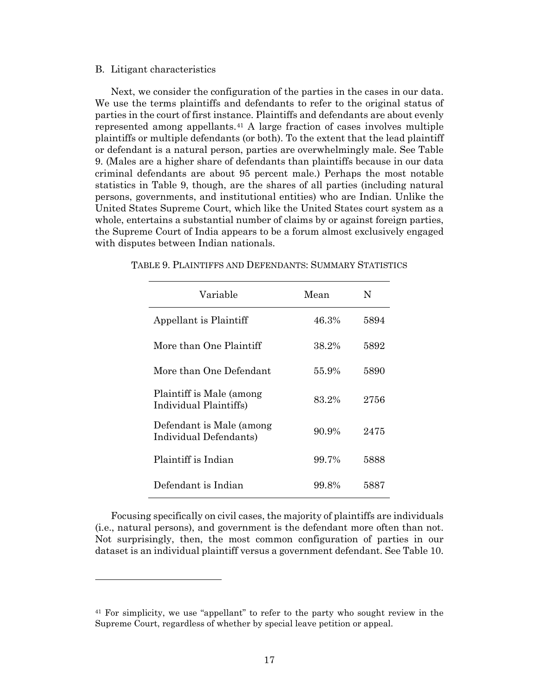#### B. Litigant characteristics

Next, we consider the configuration of the parties in the cases in our data. We use the terms plaintiffs and defendants to refer to the original status of parties in the court of first instance. Plaintiffs and defendants are about evenly represented among appellants.<sup>[41](#page-16-0)</sup> A large fraction of cases involves multiple plaintiffs or multiple defendants (or both). To the extent that the lead plaintiff or defendant is a natural person, parties are overwhelmingly male. See Table 9. (Males are a higher share of defendants than plaintiffs because in our data criminal defendants are about 95 percent male.) Perhaps the most notable statistics in Table 9, though, are the shares of all parties (including natural persons, governments, and institutional entities) who are Indian. Unlike the United States Supreme Court, which like the United States court system as a whole, entertains a substantial number of claims by or against foreign parties, the Supreme Court of India appears to be a forum almost exclusively engaged with disputes between Indian nationals.

| Variable                                           | Mean  | N    |
|----------------------------------------------------|-------|------|
| Appellant is Plaintiff                             | 46.3% | 5894 |
| More than One Plaintiff                            | 38.2% | 5892 |
| More than One Defendant                            | 55.9% | 5890 |
| Plaintiff is Male (among<br>Individual Plaintiffs) | 83.2% | 2756 |
| Defendant is Male (among<br>Individual Defendants) | 90.9% | 2475 |
| Plaintiff is Indian                                | 99.7% | 5888 |
| Defendant is Indian                                | 99.8% | 5887 |

TABLE 9. PLAINTIFFS AND DEFENDANTS: SUMMARY STATISTICS

Focusing specifically on civil cases, the majority of plaintiffs are individuals (i.e., natural persons), and government is the defendant more often than not. Not surprisingly, then, the most common configuration of parties in our dataset is an individual plaintiff versus a government defendant. See Table 10.

<span id="page-16-0"></span><sup>41</sup> For simplicity, we use "appellant" to refer to the party who sought review in the Supreme Court, regardless of whether by special leave petition or appeal.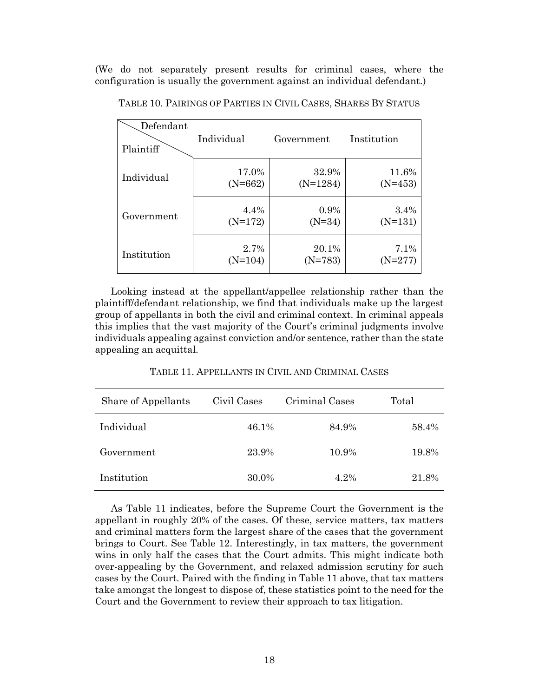(We do not separately present results for criminal cases, where the configuration is usually the government against an individual defendant.)

| Defendant<br>Plaintiff | Individual | Government | Institution |
|------------------------|------------|------------|-------------|
| Individual             | 17.0%      | 32.9%      | 11.6%       |
|                        | $(N=662)$  | $(N=1284)$ | $(N=453)$   |
| Government             | 4.4%       | 0.9%       | 3.4%        |
|                        | $(N=172)$  | $(N=34)$   | $(N=131)$   |
| Institution            | 2.7%       | 20.1%      | 7.1%        |
|                        | $(N=104)$  | $(N=783)$  | $(N=277)$   |

TABLE 10. PAIRINGS OF PARTIES IN CIVIL CASES, SHARES BY STATUS

Looking instead at the appellant/appellee relationship rather than the plaintiff/defendant relationship, we find that individuals make up the largest group of appellants in both the civil and criminal context. In criminal appeals this implies that the vast majority of the Court's criminal judgments involve individuals appealing against conviction and/or sentence, rather than the state appealing an acquittal.

| Share of Appellants | Civil Cases | Criminal Cases | Total |
|---------------------|-------------|----------------|-------|
| Individual          | 46.1%       | 84.9%          | 58.4% |
| Government          | 23.9%       | 10.9%          | 19.8% |
| Institution         | 30.0%       | 4.2%           | 21.8% |

TABLE 11. APPELLANTS IN CIVIL AND CRIMINAL CASES

As Table 11 indicates, before the Supreme Court the Government is the appellant in roughly 20% of the cases. Of these, service matters, tax matters and criminal matters form the largest share of the cases that the government brings to Court. See Table 12. Interestingly, in tax matters, the government wins in only half the cases that the Court admits. This might indicate both over-appealing by the Government, and relaxed admission scrutiny for such cases by the Court. Paired with the finding in Table 11 above, that tax matters take amongst the longest to dispose of, these statistics point to the need for the Court and the Government to review their approach to tax litigation.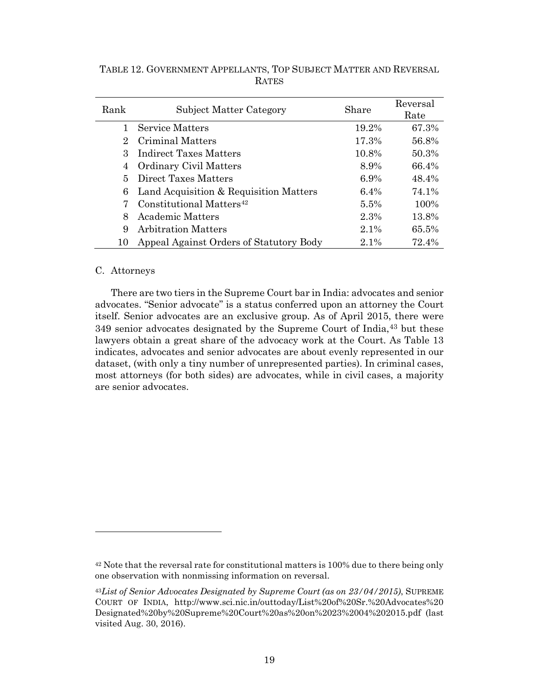| Rank<br><b>Subject Matter Category</b> |                                         | Share   | Reversal |
|----------------------------------------|-----------------------------------------|---------|----------|
|                                        |                                         |         | Rate     |
|                                        | <b>Service Matters</b>                  | 19.2%   | 67.3%    |
| 2                                      | Criminal Matters                        | 17.3%   | 56.8%    |
| 3                                      | Indirect Taxes Matters                  | 10.8%   | 50.3%    |
| 4                                      | <b>Ordinary Civil Matters</b>           | 8.9%    | 66.4%    |
| 5                                      | Direct Taxes Matters                    | 6.9%    | 48.4%    |
| 6                                      | Land Acquisition & Requisition Matters  | 6.4%    | 74.1%    |
| 7                                      | Constitutional Matters <sup>42</sup>    | $5.5\%$ | 100\%    |
| 8                                      | Academic Matters                        | 2.3%    | 13.8%    |
| 9                                      | <b>Arbitration Matters</b>              | $2.1\%$ | 65.5%    |
| 10                                     | Appeal Against Orders of Statutory Body | $2.1\%$ | 72.4%    |

TABLE 12. GOVERNMENT APPELLANTS, TOP SUBJECT MATTER AND REVERSAL **RATES** 

## C. Attorneys

There are two tiers in the Supreme Court bar in India: advocates and senior advocates. "Senior advocate" is a status conferred upon an attorney the Court itself. Senior advocates are an exclusive group. As of April 2015, there were 349 senior advocates designated by the Supreme Court of India,[43](#page-18-1) but these lawyers obtain a great share of the advocacy work at the Court. As Table 13 indicates, advocates and senior advocates are about evenly represented in our dataset, (with only a tiny number of unrepresented parties). In criminal cases, most attorneys (for both sides) are advocates, while in civil cases, a majority are senior advocates.

<span id="page-18-0"></span> $42$  Note that the reversal rate for constitutional matters is  $100\%$  due to there being only one observation with nonmissing information on reversal.

<span id="page-18-1"></span><sup>43</sup>*List of Senior Advocates Designated by Supreme Court (as on 23/04/2015)*, SUPREME COURT OF INDIA, http://www.sci.nic.in/outtoday/List%20of%20Sr.%20Advocates%20 Designated%20by%20Supreme%20Court%20as%20on%2023%2004%202015.pdf (last visited Aug. 30, 2016).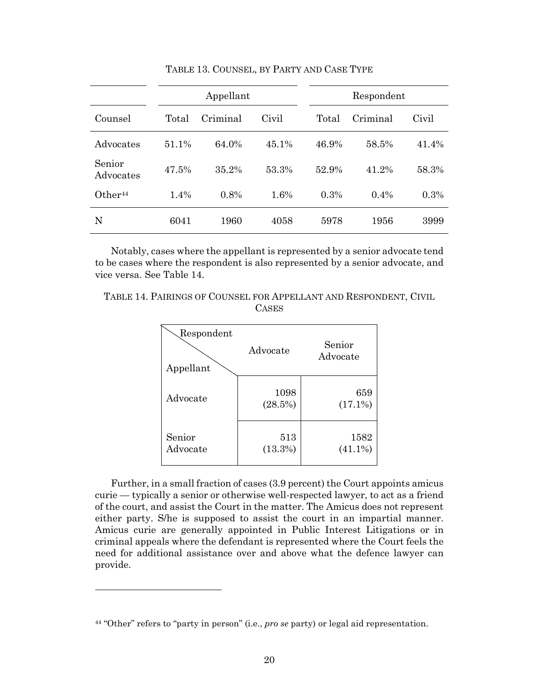|                     | Appellant |          |       |       | Respondent |       |  |
|---------------------|-----------|----------|-------|-------|------------|-------|--|
| Counsel             | Total     | Criminal | Civil | Total | Criminal   | Civil |  |
| Advocates           | 51.1%     | 64.0%    | 45.1% | 46.9% | 58.5%      | 41.4% |  |
| Senior<br>Advocates | 47.5%     | 35.2%    | 53.3% | 52.9% | 41.2%      | 58.3% |  |
| Other <sup>44</sup> | 1.4%      | 0.8%     | 1.6%  | 0.3%  | $0.4\%$    | 0.3%  |  |
| N                   | 6041      | 1960     | 4058  | 5978  | 1956       | 3999  |  |

TABLE 13. COUNSEL, BY PARTY AND CASE TYPE

Notably, cases where the appellant is represented by a senior advocate tend to be cases where the respondent is also represented by a senior advocate, and vice versa. See Table 14.

TABLE 14. PAIRINGS OF COUNSEL FOR APPELLANT AND RESPONDENT, CIVIL **CASES** 

| Respondent<br>Appellant | Advocate           | Senior<br>Advocate |
|-------------------------|--------------------|--------------------|
| Advocate                | 1098<br>(28.5%)    | 659<br>(17.1%)     |
| Senior<br>Advocate      | $513\,$<br>(13.3%) | 1582<br>$(41.1\%)$ |

Further, in a small fraction of cases (3.9 percent) the Court appoints amicus curie — typically a senior or otherwise well-respected lawyer, to act as a friend of the court, and assist the Court in the matter. The Amicus does not represent either party. S/he is supposed to assist the court in an impartial manner. Amicus curie are generally appointed in Public Interest Litigations or in criminal appeals where the defendant is represented where the Court feels the need for additional assistance over and above what the defence lawyer can provide.

<span id="page-19-0"></span><sup>44</sup> "Other" refers to "party in person" (i.e., *pro se* party) or legal aid representation.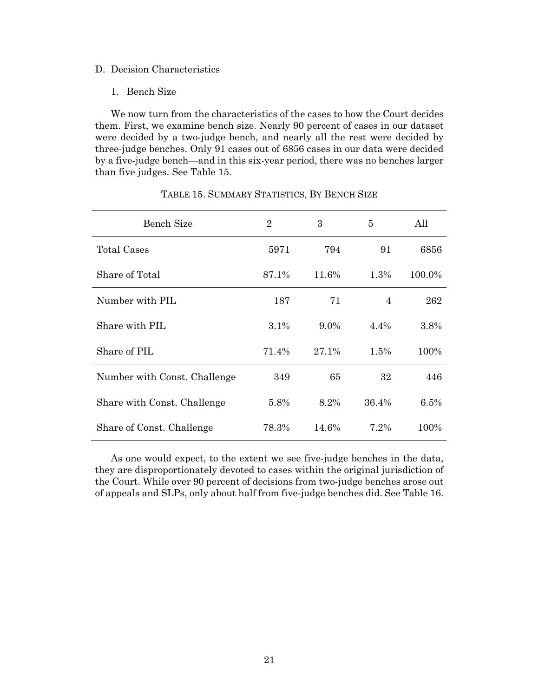## D. Decision Characteristics

## 1. Bench Size

We now turn from the characteristics of the cases to how the Court decides them. First, we examine bench size. Nearly 90 percent of cases in our dataset were decided by a two-judge bench, and nearly all the rest were decided by three-judge benches. Only 91 cases out of 6856 cases in our data were decided by a five-judge bench—and in this six-year period, there was no benches larger than five judges. See Table 15.

| <b>Bench Size</b>            | $\overline{2}$ | 3     | 5       | All    |
|------------------------------|----------------|-------|---------|--------|
| Total Cases                  | 5971           | 794   | 91      | 6856   |
| Share of Total               | 87.1%          | 11.6% | 1.3%    | 100.0% |
| Number with PIL              | 187            | 71    | 4       | 262    |
| Share with PIL               | 3.1%           | 9.0%  | 4.4%    | 3.8%   |
| Share of PIL                 | 71.4%          | 27.1% | $1.5\%$ | 100%   |
| Number with Const. Challenge | 349            | 65    | 32      | 446    |
| Share with Const. Challenge  | 5.8%           | 8.2%  | 36.4%   | 6.5%   |
| Share of Const. Challenge    | 78.3%          | 14.6% | 7.2%    | 100%   |

## TABLE 15. SUMMARY STATISTICS, BY BENCH SIZE

As one would expect, to the extent we see five-judge benches in the data, they are disproportionately devoted to cases within the original jurisdiction of the Court. While over 90 percent of decisions from two-judge benches arose out of appeals and SLPs, only about half from five-judge benches did. See Table 16.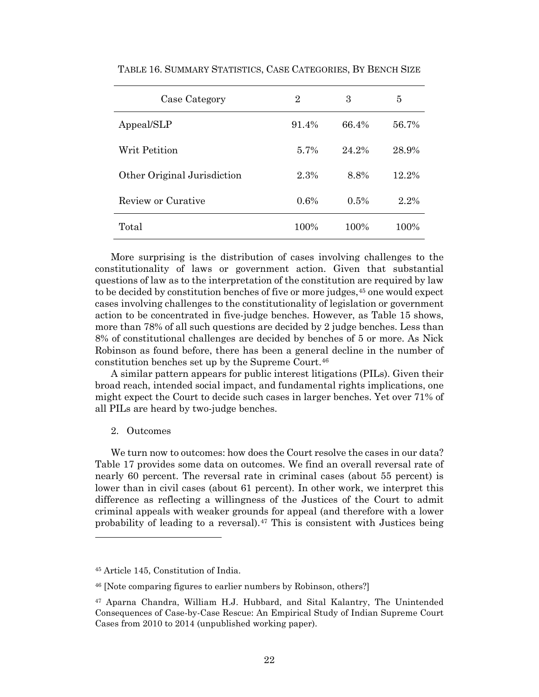| Case Category               | 2       | 3     | 5     |
|-----------------------------|---------|-------|-------|
| Appeal/SLP                  | 91.4%   | 66.4% | 56.7% |
| Writ Petition               | $5.7\%$ | 24.2% | 28.9% |
| Other Original Jurisdiction | 2.3%    | 8.8%  | 12.2% |
| Review or Curative          | 0.6%    | 0.5%  | 2.2%  |
| Total                       | 100%    | 100%  | 100%  |

TABLE 16. SUMMARY STATISTICS, CASE CATEGORIES, BY BENCH SIZE

More surprising is the distribution of cases involving challenges to the constitutionality of laws or government action. Given that substantial questions of law as to the interpretation of the constitution are required by law to be decided by constitution benches of five or more judges, <sup>[45](#page-21-0)</sup> one would expect cases involving challenges to the constitutionality of legislation or government action to be concentrated in five-judge benches. However, as Table 15 shows, more than 78% of all such questions are decided by 2 judge benches. Less than 8% of constitutional challenges are decided by benches of 5 or more. As Nick Robinson as found before, there has been a general decline in the number of constitution benches set up by the Supreme Court.[46](#page-21-1)

A similar pattern appears for public interest litigations (PILs). Given their broad reach, intended social impact, and fundamental rights implications, one might expect the Court to decide such cases in larger benches. Yet over 71% of all PILs are heard by two-judge benches.

## 2. Outcomes

We turn now to outcomes: how does the Court resolve the cases in our data? Table 17 provides some data on outcomes. We find an overall reversal rate of nearly 60 percent. The reversal rate in criminal cases (about 55 percent) is lower than in civil cases (about 61 percent). In other work, we interpret this difference as reflecting a willingness of the Justices of the Court to admit criminal appeals with weaker grounds for appeal (and therefore with a lower probability of leading to a reversal).<sup>[47](#page-21-2)</sup> This is consistent with Justices being

<span id="page-21-0"></span><sup>45</sup> Article 145, Constitution of India.

<span id="page-21-1"></span><sup>46</sup> [Note comparing figures to earlier numbers by Robinson, others?]

<span id="page-21-2"></span><sup>47</sup> Aparna Chandra, William H.J. Hubbard, and Sital Kalantry, The Unintended Consequences of Case-by-Case Rescue: An Empirical Study of Indian Supreme Court Cases from 2010 to 2014 (unpublished working paper).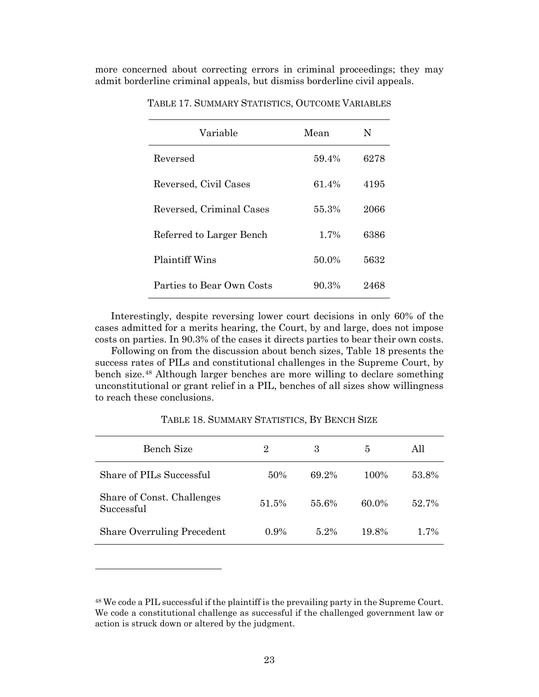more concerned about correcting errors in criminal proceedings; they may admit borderline criminal appeals, but dismiss borderline civil appeals.

| Variable                  | Mean    | N    |
|---------------------------|---------|------|
| Reversed                  | 59.4%   | 6278 |
| Reversed, Civil Cases     | 61.4%   | 4195 |
| Reversed, Criminal Cases  | 55.3%   | 2066 |
| Referred to Larger Bench  | $1.7\%$ | 6386 |
| <b>Plaintiff Wins</b>     | 50.0%   | 5632 |
| Parties to Bear Own Costs | 90.3%   | 2468 |

TABLE 17. SUMMARY STATISTICS, OUTCOME VARIABLES

Interestingly, despite reversing lower court decisions in only 60% of the cases admitted for a merits hearing, the Court, by and large, does not impose costs on parties. In 90.3% of the cases it directs parties to bear their own costs.

Following on from the discussion about bench sizes, Table 18 presents the success rates of PILs and constitutional challenges in the Supreme Court, by bench size.[48](#page-22-0) Although larger benches are more willing to declare something unconstitutional or grant relief in a PIL, benches of all sizes show willingness to reach these conclusions.

| Bench Size                               | 2       | 3       | 5     | All     |
|------------------------------------------|---------|---------|-------|---------|
| Share of PILs Successful                 | 50%     | 69.2%   | 100%  | 53.8%   |
| Share of Const. Challenges<br>Successful | 51.5%   | 55.6%   | 60.0% | 52.7%   |
| <b>Share Overruling Precedent</b>        | $0.9\%$ | $5.2\%$ | 19.8% | $1.7\%$ |

TABLE 18. SUMMARY STATISTICS, BY BENCH SIZE

<span id="page-22-0"></span><sup>&</sup>lt;sup>48</sup> We code a PIL successful if the plaintiff is the prevailing party in the Supreme Court. We code a constitutional challenge as successful if the challenged government law or action is struck down or altered by the judgment.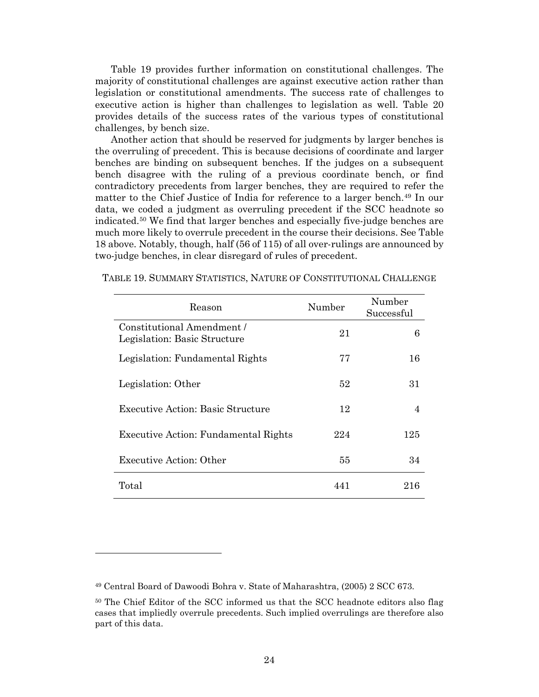Table 19 provides further information on constitutional challenges. The majority of constitutional challenges are against executive action rather than legislation or constitutional amendments. The success rate of challenges to executive action is higher than challenges to legislation as well. Table 20 provides details of the success rates of the various types of constitutional challenges, by bench size.

Another action that should be reserved for judgments by larger benches is the overruling of precedent. This is because decisions of coordinate and larger benches are binding on subsequent benches. If the judges on a subsequent bench disagree with the ruling of a previous coordinate bench, or find contradictory precedents from larger benches, they are required to refer the matter to the Chief Justice of India for reference to a larger bench[.49](#page-23-0) In our data, we coded a judgment as overruling precedent if the SCC headnote so indicated.[50](#page-23-1) We find that larger benches and especially five-judge benches are much more likely to overrule precedent in the course their decisions. See Table 18 above. Notably, though, half (56 of 115) of all over-rulings are announced by two-judge benches, in clear disregard of rules of precedent.

| Reason                                                     | Number | Number<br>Successful |  |
|------------------------------------------------------------|--------|----------------------|--|
| Constitutional Amendment /<br>Legislation: Basic Structure | 21     | 6                    |  |
| Legislation: Fundamental Rights                            | 77     | 16                   |  |
| Legislation: Other                                         | 52     | 31                   |  |
| Executive Action: Basic Structure                          | 12     | $\overline{4}$       |  |
| <b>Executive Action: Fundamental Rights</b>                | 224    | 125                  |  |
| <b>Executive Action: Other</b>                             | 55     | 34                   |  |
| Total                                                      | 441    | 216                  |  |

TABLE 19. SUMMARY STATISTICS, NATURE OF CONSTITUTIONAL CHALLENGE

<span id="page-23-0"></span><sup>49</sup> Central Board of Dawoodi Bohra v. State of Maharashtra, (2005) 2 SCC 673.

<span id="page-23-1"></span><sup>50</sup> The Chief Editor of the SCC informed us that the SCC headnote editors also flag cases that impliedly overrule precedents. Such implied overrulings are therefore also part of this data.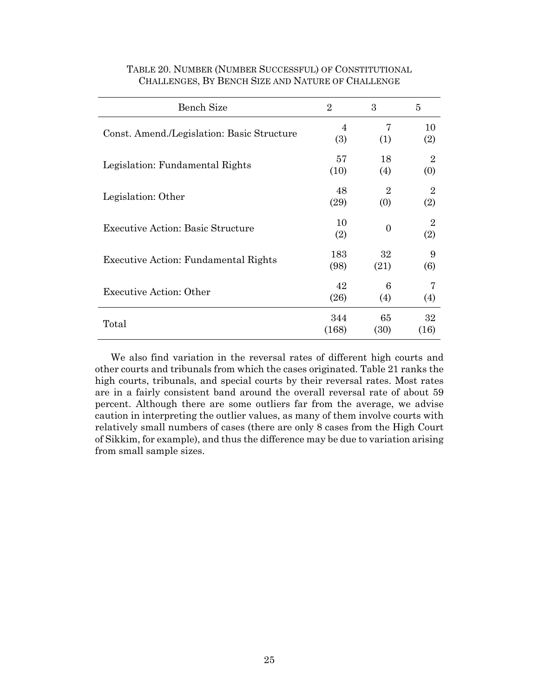| <b>Bench Size</b>                           | $\overline{2}$ | 3              | 5                     |
|---------------------------------------------|----------------|----------------|-----------------------|
| Const. Amend./Legislation: Basic Structure  | $\overline{4}$ | 7              | 10                    |
|                                             | (3)            | (1)            | (2)                   |
| Legislation: Fundamental Rights             | 57             | 18             | $\overline{2}$        |
|                                             | (10)           | (4)            | (0)                   |
| Legislation: Other                          | 48             | $\overline{2}$ | $\overline{2}$        |
|                                             | (29)           | (0)            | (2)                   |
| <b>Executive Action: Basic Structure</b>    | 10<br>(2)      | $\Omega$       | $\overline{2}$<br>(2) |
| <b>Executive Action: Fundamental Rights</b> | 183            | 32             | 9                     |
|                                             | (98)           | (21)           | (6)                   |
| <b>Executive Action: Other</b>              | 42             | 6              | 7                     |
|                                             | (26)           | (4)            | (4)                   |
| Total                                       | 344            | 65             | 32                    |
|                                             | (168)          | (30)           | (16)                  |

# TABLE 20. NUMBER (NUMBER SUCCESSFUL) OF CONSTITUTIONAL CHALLENGES, BY BENCH SIZE AND NATURE OF CHALLENGE

We also find variation in the reversal rates of different high courts and other courts and tribunals from which the cases originated. Table 21 ranks the high courts, tribunals, and special courts by their reversal rates. Most rates are in a fairly consistent band around the overall reversal rate of about 59 percent. Although there are some outliers far from the average, we advise caution in interpreting the outlier values, as many of them involve courts with relatively small numbers of cases (there are only 8 cases from the High Court of Sikkim, for example), and thus the difference may be due to variation arising from small sample sizes.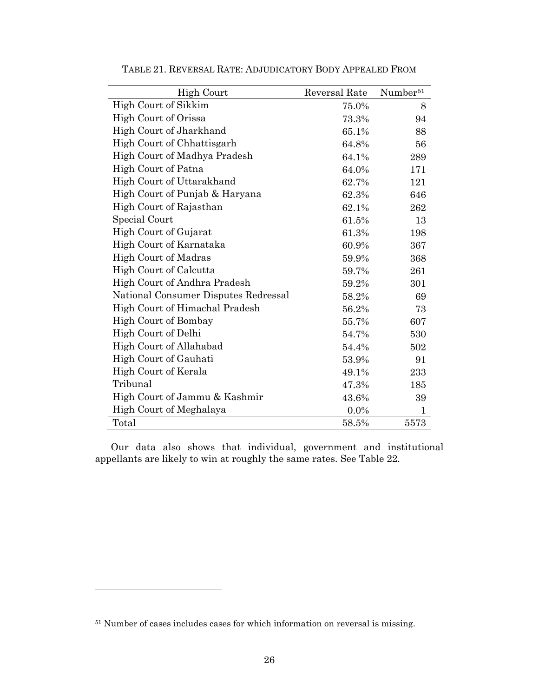| High Court                           | Reversal Rate | Number <sup>51</sup> |
|--------------------------------------|---------------|----------------------|
| High Court of Sikkim                 | 75.0%         | 8                    |
| High Court of Orissa                 | 73.3%         | 94                   |
| High Court of Jharkhand              | 65.1%         | 88                   |
| High Court of Chhattisgarh           | 64.8%         | 56                   |
| High Court of Madhya Pradesh         | 64.1%         | 289                  |
| High Court of Patna                  | 64.0%         | 171                  |
| High Court of Uttarakhand            | 62.7%         | 121                  |
| High Court of Punjab & Haryana       | 62.3%         | 646                  |
| High Court of Rajasthan              | 62.1%         | 262                  |
| Special Court                        | 61.5%         | 13                   |
| High Court of Gujarat                | 61.3%         | 198                  |
| High Court of Karnataka              | 60.9%         | 367                  |
| <b>High Court of Madras</b>          | 59.9%         | 368                  |
| High Court of Calcutta               | 59.7%         | 261                  |
| High Court of Andhra Pradesh         | 59.2%         | 301                  |
| National Consumer Disputes Redressal | 58.2%         | 69                   |
| High Court of Himachal Pradesh       | 56.2%         | 73                   |
| High Court of Bombay                 | 55.7%         | 607                  |
| High Court of Delhi                  | 54.7%         | 530                  |
| High Court of Allahabad              | 54.4%         | 502                  |
| High Court of Gauhati                | 53.9%         | 91                   |
| High Court of Kerala                 | 49.1%         | 233                  |
| Tribunal                             | 47.3%         | 185                  |
| High Court of Jammu & Kashmir        | 43.6%         | 39                   |
| High Court of Meghalaya              | 0.0%          | 1                    |
| Total                                | 58.5%         | 5573                 |

TABLE 21. REVERSAL RATE: ADJUDICATORY BODY APPEALED FROM

Our data also shows that individual, government and institutional appellants are likely to win at roughly the same rates. See Table 22.

<span id="page-25-0"></span><sup>51</sup> Number of cases includes cases for which information on reversal is missing.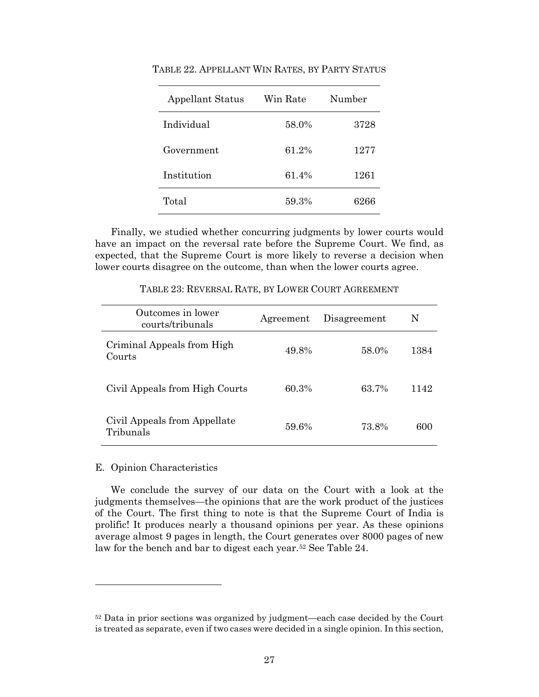| <b>Appellant Status</b> | Win Rate | Number |
|-------------------------|----------|--------|
| Individual              | 58.0%    | 3728   |
| Government              | 61.2%    | 1277   |
| Institution             | 61.4%    | 1261   |
| Total                   | 59.3%    | 6266   |

TABLE 22. APPELLANT WIN RATES, BY PARTY STATUS

Finally, we studied whether concurring judgments by lower courts would have an impact on the reversal rate before the Supreme Court. We find, as expected, that the Supreme Court is more likely to reverse a decision when lower courts disagree on the outcome, than when the lower courts agree.

| Outcomes in lower<br>courts/tribunals     | Agreement | Disagreement | N    |
|-------------------------------------------|-----------|--------------|------|
| Criminal Appeals from High<br>Courts      | 49.8%     | 58.0%        | 1384 |
| Civil Appeals from High Courts            | 60.3%     | 63.7%        | 1142 |
| Civil Appeals from Appellate<br>Tribunals | 59.6%     | 73.8%        | 600  |

TABLE 23: REVERSAL RATE, BY LOWER COURT AGREEMENT

### E. Opinion Characteristics

We conclude the survey of our data on the Court with a look at the judgments themselves—the opinions that are the work product of the justices of the Court. The first thing to note is that the Supreme Court of India is prolific! It produces nearly a thousand opinions per year. As these opinions average almost 9 pages in length, the Court generates over 8000 pages of new law for the bench and bar to digest each year.<sup>[52](#page-26-0)</sup> See Table 24.

<span id="page-26-0"></span><sup>52</sup> Data in prior sections was organized by judgment—each case decided by the Court is treated as separate, even if two cases were decided in a single opinion. In this section,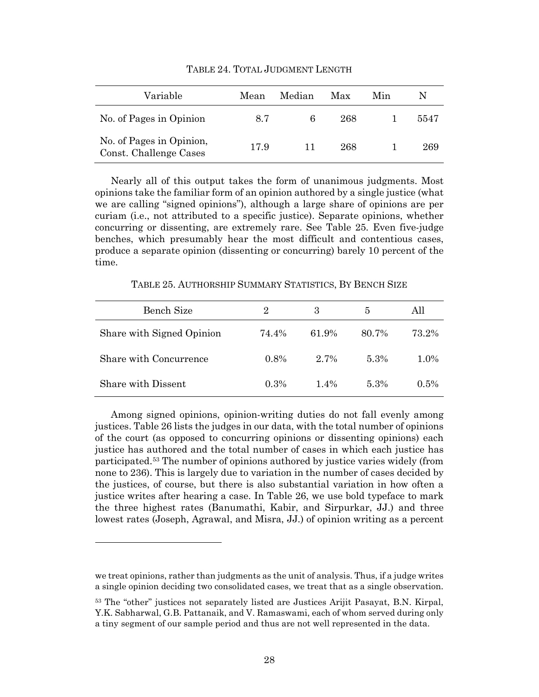| Variable                                           | Mean | Median | Max | Min | N    |
|----------------------------------------------------|------|--------|-----|-----|------|
| No. of Pages in Opinion                            | 8.7  | 6      | 268 |     | 5547 |
| No. of Pages in Opinion,<br>Const. Challenge Cases | 17.9 |        | 268 |     | 269  |

TABLE 24. TOTAL JUDGMENT LENGTH

Nearly all of this output takes the form of unanimous judgments. Most opinions take the familiar form of an opinion authored by a single justice (what we are calling "signed opinions"), although a large share of opinions are per curiam (i.e., not attributed to a specific justice). Separate opinions, whether concurring or dissenting, are extremely rare. See Table 25. Even five-judge benches, which presumably hear the most difficult and contentious cases, produce a separate opinion (dissenting or concurring) barely 10 percent of the time.

| Bench Size                | 2       | З       | 5       | All     |
|---------------------------|---------|---------|---------|---------|
| Share with Signed Opinion | 74.4%   | 61.9%   | 80.7%   | 73.2%   |
| Share with Concurrence    | $0.8\%$ | 2.7%    | $5.3\%$ | 1.0%    |
| Share with Dissent        | $0.3\%$ | $1.4\%$ | 5.3%    | $0.5\%$ |

TABLE 25. AUTHORSHIP SUMMARY STATISTICS, BY BENCH SIZE

Among signed opinions, opinion-writing duties do not fall evenly among justices. Table 26 lists the judges in our data, with the total number of opinions of the court (as opposed to concurring opinions or dissenting opinions) each justice has authored and the total number of cases in which each justice has participated.[53](#page-27-0) The number of opinions authored by justice varies widely (from none to 236). This is largely due to variation in the number of cases decided by the justices, of course, but there is also substantial variation in how often a justice writes after hearing a case. In Table 26, we use bold typeface to mark the three highest rates (Banumathi, Kabir, and Sirpurkar, JJ.) and three lowest rates (Joseph, Agrawal, and Misra, JJ.) of opinion writing as a percent

we treat opinions, rather than judgments as the unit of analysis. Thus, if a judge writes a single opinion deciding two consolidated cases, we treat that as a single observation.

<span id="page-27-0"></span><sup>53</sup> The "other" justices not separately listed are Justices Arijit Pasayat, B.N. Kirpal, Y.K. Sabharwal, G.B. Pattanaik, and V. Ramaswami, each of whom served during only a tiny segment of our sample period and thus are not well represented in the data.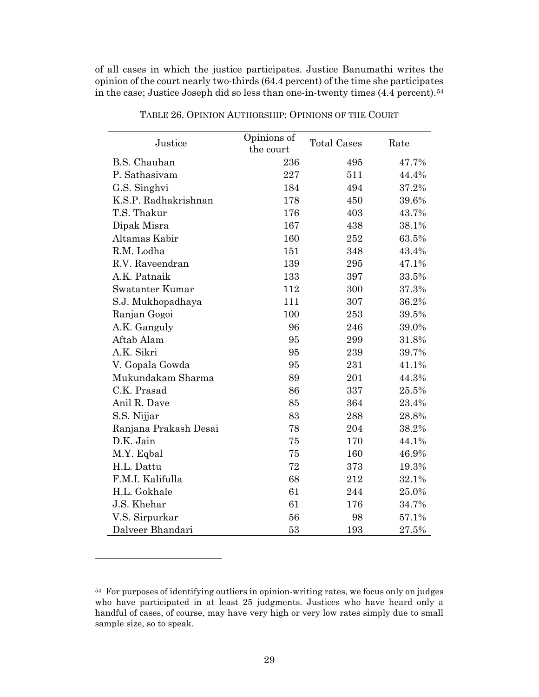of all cases in which the justice participates. Justice Banumathi writes the opinion of the court nearly two-thirds (64.4 percent) of the time she participates in the case; Justice Joseph did so less than one-in-twenty times (4.4 percent).<sup>[54](#page-28-0)</sup>

| Justice               | Opinions of<br>the court | <b>Total Cases</b> | Rate  |
|-----------------------|--------------------------|--------------------|-------|
| B.S. Chauhan          | 236                      | 495                | 47.7% |
| P. Sathasiyam         | $227\,$                  | 511                | 44.4% |
| G.S. Singhvi          | 184                      | 494                | 37.2% |
| K.S.P. Radhakrishnan  | 178                      | 450                | 39.6% |
| T.S. Thakur           | 176                      | 403                | 43.7% |
| Dipak Misra           | 167                      | 438                | 38.1% |
| Altamas Kabir         | 160                      | 252                | 63.5% |
| R.M. Lodha            | 151                      | 348                | 43.4% |
| R.V. Raveendran       | 139                      | 295                | 47.1% |
| A.K. Patnaik          | 133                      | 397                | 33.5% |
| Swatanter Kumar       | 112                      | 300                | 37.3% |
| S.J. Mukhopadhaya     | 111                      | 307                | 36.2% |
| Ranjan Gogoi          | 100                      | 253                | 39.5% |
| A.K. Ganguly          | 96                       | 246                | 39.0% |
| Aftab Alam            | 95                       | 299                | 31.8% |
| A.K. Sikri            | 95                       | 239                | 39.7% |
| V. Gopala Gowda       | 95                       | 231                | 41.1% |
| Mukundakam Sharma     | 89                       | 201                | 44.3% |
| C.K. Prasad           | 86                       | 337                | 25.5% |
| Anil R. Dave          | 85                       | 364                | 23.4% |
| S.S. Nijjar           | 83                       | 288                | 28.8% |
| Ranjana Prakash Desai | 78                       | 204                | 38.2% |
| D.K. Jain             | 75                       | 170                | 44.1% |
| M.Y. Eqbal            | 75                       | 160                | 46.9% |
| H.L. Dattu            | 72                       | 373                | 19.3% |
| F.M.I. Kalifulla      | 68                       | 212                | 32.1% |
| H.L. Gokhale          | 61                       | 244                | 25.0% |
| J.S. Khehar           | 61                       | 176                | 34.7% |
| V.S. Sirpurkar        | 56                       | 98                 | 57.1% |
| Dalveer Bhandari      | 53                       | 193                | 27.5% |

TABLE 26. OPINION AUTHORSHIP: OPINIONS OF THE COURT

<span id="page-28-0"></span><sup>54</sup> For purposes of identifying outliers in opinion-writing rates, we focus only on judges who have participated in at least 25 judgments. Justices who have heard only a handful of cases, of course, may have very high or very low rates simply due to small sample size, so to speak.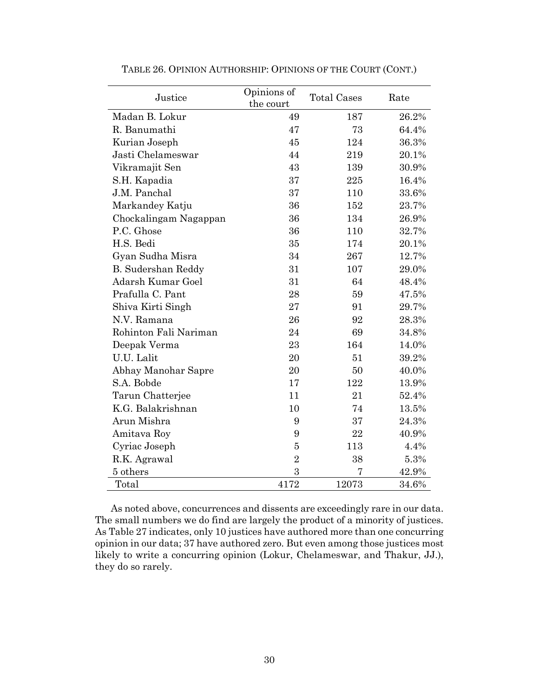| Justice               | Opinions of<br>the court | <b>Total Cases</b> | Rate  |
|-----------------------|--------------------------|--------------------|-------|
| Madan B. Lokur        | 49                       | 187                | 26.2% |
| R. Banumathi          | 47                       | 73                 | 64.4% |
| Kurian Joseph         | 45                       | 124                | 36.3% |
| Jasti Chelameswar     | 44                       | 219                | 20.1% |
| Vikramajit Sen        | 43                       | 139                | 30.9% |
| S.H. Kapadia          | 37                       | 225                | 16.4% |
| J.M. Panchal          | 37                       | 110                | 33.6% |
| Markandey Katju       | 36                       | 152                | 23.7% |
| Chockalingam Nagappan | 36                       | 134                | 26.9% |
| P.C. Ghose            | 36                       | 110                | 32.7% |
| H.S. Bedi             | 35                       | 174                | 20.1% |
| Gyan Sudha Misra      | 34                       | 267                | 12.7% |
| B. Sudershan Reddy    | 31                       | 107                | 29.0% |
| Adarsh Kumar Goel     | 31                       | 64                 | 48.4% |
| Prafulla C. Pant      | 28                       | 59                 | 47.5% |
| Shiva Kirti Singh     | 27                       | 91                 | 29.7% |
| N.V. Ramana           | 26                       | 92                 | 28.3% |
| Rohinton Fali Nariman | 24                       | 69                 | 34.8% |
| Deepak Verma          | 23                       | 164                | 14.0% |
| U.U. Lalit            | 20                       | 51                 | 39.2% |
| Abhay Manohar Sapre   | 20                       | 50                 | 40.0% |
| S.A. Bobde            | 17                       | 122                | 13.9% |
| Tarun Chatterjee      | 11                       | 21                 | 52.4% |
| K.G. Balakrishnan     | 10                       | 74                 | 13.5% |
| Arun Mishra           | 9                        | 37                 | 24.3% |
| Amitava Roy           | 9                        | 22                 | 40.9% |
| Cyriac Joseph         | 5                        | 113                | 4.4%  |
| R.K. Agrawal          | $\overline{2}$           | 38                 | 5.3%  |
| 5 others              | 3                        | 7                  | 42.9% |
| Total                 | 4172                     | 12073              | 34.6% |

TABLE 26. OPINION AUTHORSHIP: OPINIONS OF THE COURT (CONT.)

As noted above, concurrences and dissents are exceedingly rare in our data. The small numbers we do find are largely the product of a minority of justices. As Table 27 indicates, only 10 justices have authored more than one concurring opinion in our data; 37 have authored zero. But even among those justices most likely to write a concurring opinion (Lokur, Chelameswar, and Thakur, JJ.), they do so rarely.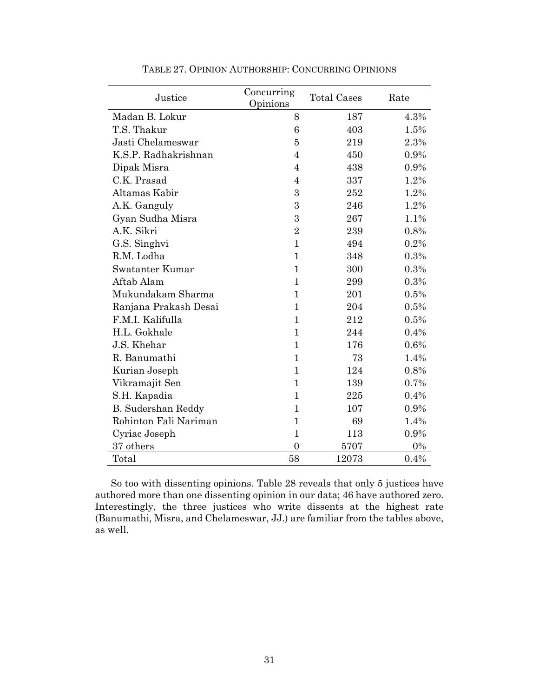| Justice                   | Concurring<br>Opinions | <b>Total Cases</b> | Rate    |
|---------------------------|------------------------|--------------------|---------|
| Madan B. Lokur            | 8                      | 187                | $4.3\%$ |
| T.S. Thakur               | 6                      | 403                | 1.5%    |
| Jasti Chelameswar         | 5                      | 219                | 2.3%    |
| K.S.P. Radhakrishnan      | $\overline{4}$         | 450                | 0.9%    |
| Dipak Misra               | $\overline{4}$         | 438                | 0.9%    |
| C.K. Prasad               | $\overline{4}$         | 337                | 1.2%    |
| Altamas Kabir             | 3                      | 252                | 1.2%    |
| A.K. Ganguly              | 3                      | 246                | 1.2%    |
| Gyan Sudha Misra          | 3                      | 267                | 1.1%    |
| A.K. Sikri                | $\overline{2}$         | 239                | 0.8%    |
| G.S. Singhvi              | $\mathbf{1}$           | 494                | 0.2%    |
| R.M. Lodha                | $\mathbf{1}$           | 348                | 0.3%    |
| Swatanter Kumar           | $\mathbf{1}$           | 300                | 0.3%    |
| Aftab Alam                | $\mathbf{1}$           | 299                | 0.3%    |
| Mukundakam Sharma         | $\mathbf{1}$           | 201                | 0.5%    |
| Ranjana Prakash Desai     | $\mathbf{1}$           | 204                | 0.5%    |
| F.M.I. Kalifulla          | $\mathbf{1}$           | 212                | 0.5%    |
| H.L. Gokhale              | $\mathbf{1}$           | 244                | 0.4%    |
| J.S. Khehar               | $\mathbf{1}$           | 176                | 0.6%    |
| R. Banumathi              | $\mathbf{1}$           | 73                 | 1.4%    |
| Kurian Joseph             | $\mathbf{1}$           | 124                | 0.8%    |
| Vikramajit Sen            | $\mathbf{1}$           | 139                | $0.7\%$ |
| S.H. Kapadia              | $\mathbf{1}$           | 225                | 0.4%    |
| <b>B.</b> Sudershan Reddy | $\mathbf{1}$           | 107                | 0.9%    |
| Rohinton Fali Nariman     | $\mathbf{1}$           | 69                 | 1.4%    |
| Cyriac Joseph             | 1                      | 113                | 0.9%    |
| 37 others                 | $\overline{0}$         | 5707               | $0\%$   |
| Total                     | 58                     | 12073              | 0.4%    |

TABLE 27. OPINION AUTHORSHIP: CONCURRING OPINIONS

So too with dissenting opinions. Table 28 reveals that only 5 justices have authored more than one dissenting opinion in our data; 46 have authored zero. Interestingly, the three justices who write dissents at the highest rate (Banumathi, Misra, and Chelameswar, JJ.) are familiar from the tables above, as well.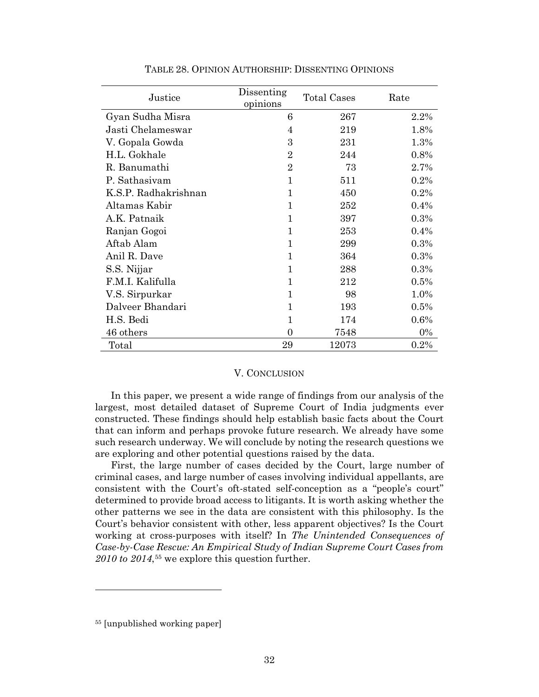| Justice              | Dissenting<br>opinions | <b>Total Cases</b> | Rate  |
|----------------------|------------------------|--------------------|-------|
| Gyan Sudha Misra     | 6                      | 267                | 2.2%  |
| Jasti Chelameswar    | $\overline{4}$         | 219                | 1.8%  |
| V. Gopala Gowda      | 3                      | 231                | 1.3%  |
| H.L. Gokhale         | $\overline{2}$         | 244                | 0.8%  |
| R. Banumathi         | $\overline{2}$         | 73                 | 2.7%  |
| P. Sathasiyam        | 1                      | 511                | 0.2%  |
| K.S.P. Radhakrishnan | 1                      | 450                | 0.2%  |
| Altamas Kabir        | $\mathbf 1$            | 252                | 0.4%  |
| A.K. Patnaik         | 1                      | 397                | 0.3%  |
| Ranjan Gogoi         | 1                      | 253                | 0.4%  |
| Aftab Alam           | 1                      | 299                | 0.3%  |
| Anil R. Dave         | 1                      | 364                | 0.3%  |
| S.S. Nijjar          | 1                      | 288                | 0.3%  |
| F.M.I. Kalifulla     | 1                      | 212                | 0.5%  |
| V.S. Sirpurkar       | 1                      | 98                 | 1.0%  |
| Dalveer Bhandari     | 1                      | 193                | 0.5%  |
| H.S. Bedi            | 1                      | 174                | 0.6%  |
| 46 others            | $\theta$               | 7548               | $0\%$ |
| Total                | 29                     | 12073              | 0.2%  |

TABLE 28. OPINION AUTHORSHIP: DISSENTING OPINIONS

## V. CONCLUSION

In this paper, we present a wide range of findings from our analysis of the largest, most detailed dataset of Supreme Court of India judgments ever constructed. These findings should help establish basic facts about the Court that can inform and perhaps provoke future research. We already have some such research underway. We will conclude by noting the research questions we are exploring and other potential questions raised by the data.

First, the large number of cases decided by the Court, large number of criminal cases, and large number of cases involving individual appellants, are consistent with the Court's oft-stated self-conception as a "people's court" determined to provide broad access to litigants. It is worth asking whether the other patterns we see in the data are consistent with this philosophy. Is the Court's behavior consistent with other, less apparent objectives? Is the Court working at cross-purposes with itself? In *The Unintended Consequences of Case-by-Case Rescue: An Empirical Study of Indian Supreme Court Cases from 2010 to 2014*,[55](#page-31-0) we explore this question further.

<span id="page-31-0"></span><sup>55</sup> [unpublished working paper]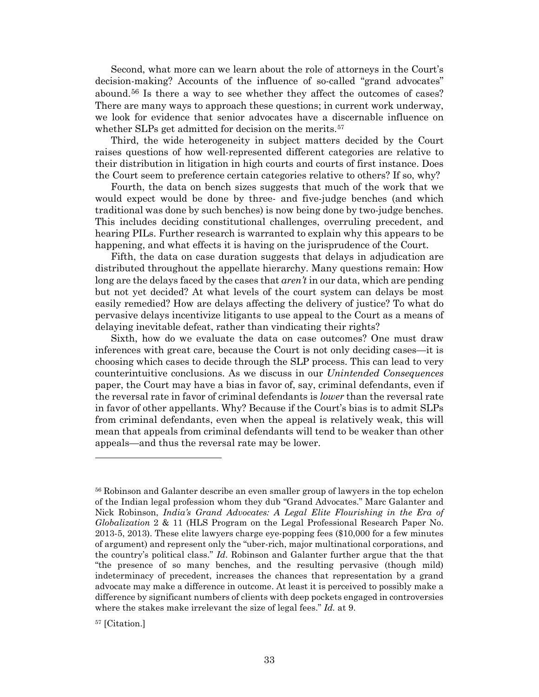Second, what more can we learn about the role of attorneys in the Court's decision-making? Accounts of the influence of so-called "grand advocates" abound.[56](#page-32-0) Is there a way to see whether they affect the outcomes of cases? There are many ways to approach these questions; in current work underway, we look for evidence that senior advocates have a discernable influence on whether SLPs get admitted for decision on the merits.<sup>[57](#page-32-1)</sup>

Third, the wide heterogeneity in subject matters decided by the Court raises questions of how well-represented different categories are relative to their distribution in litigation in high courts and courts of first instance. Does the Court seem to preference certain categories relative to others? If so, why?

Fourth, the data on bench sizes suggests that much of the work that we would expect would be done by three- and five-judge benches (and which traditional was done by such benches) is now being done by two-judge benches. This includes deciding constitutional challenges, overruling precedent, and hearing PILs. Further research is warranted to explain why this appears to be happening, and what effects it is having on the jurisprudence of the Court.

Fifth, the data on case duration suggests that delays in adjudication are distributed throughout the appellate hierarchy. Many questions remain: How long are the delays faced by the cases that *aren't* in our data, which are pending but not yet decided? At what levels of the court system can delays be most easily remedied? How are delays affecting the delivery of justice? To what do pervasive delays incentivize litigants to use appeal to the Court as a means of delaying inevitable defeat, rather than vindicating their rights?

Sixth, how do we evaluate the data on case outcomes? One must draw inferences with great care, because the Court is not only deciding cases—it is choosing which cases to decide through the SLP process. This can lead to very counterintuitive conclusions. As we discuss in our *Unintended Consequences* paper, the Court may have a bias in favor of, say, criminal defendants, even if the reversal rate in favor of criminal defendants is *lower* than the reversal rate in favor of other appellants. Why? Because if the Court's bias is to admit SLPs from criminal defendants, even when the appeal is relatively weak, this will mean that appeals from criminal defendants will tend to be weaker than other appeals—and thus the reversal rate may be lower.

 $\overline{a}$ 

<span id="page-32-0"></span><sup>56</sup> Robinson and Galanter describe an even smaller group of lawyers in the top echelon of the Indian legal profession whom they dub "Grand Advocates." Marc Galanter and Nick Robinson, *India's Grand Advocates: A Legal Elite Flourishing in the Era of Globalization* 2 & 11 (HLS Program on the Legal Professional Research Paper No. 2013-5, 2013). These elite lawyers charge eye-popping fees (\$10,000 for a few minutes of argument) and represent only the "uber-rich, major multinational corporations, and the country's political class." *Id*. Robinson and Galanter further argue that the that "the presence of so many benches, and the resulting pervasive (though mild) indeterminacy of precedent, increases the chances that representation by a grand advocate may make a difference in outcome. At least it is perceived to possibly make a difference by significant numbers of clients with deep pockets engaged in controversies where the stakes make irrelevant the size of legal fees." *Id.* at 9.

<span id="page-32-1"></span><sup>57</sup> [Citation.]